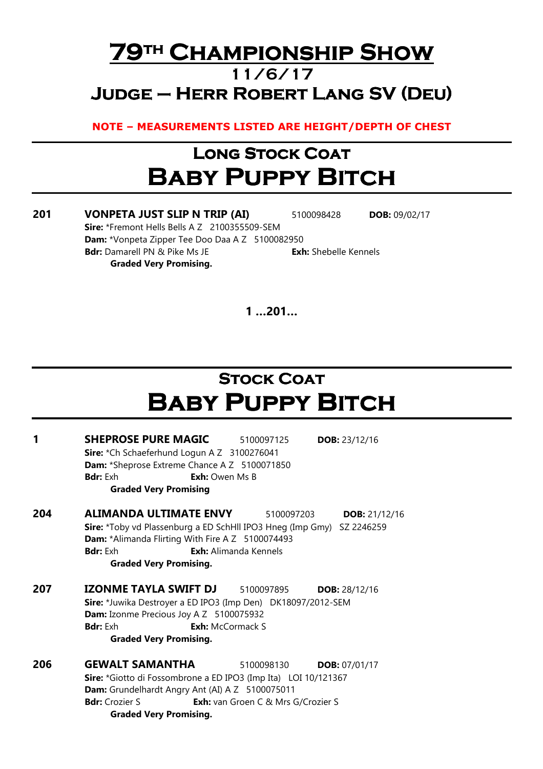#### 79TH CHAMPIONSHIP SHOW 11/6/17  $JUDGE - HERR ROBERT$  LANG SV (DEU)

NOTE – MEASUREMENTS LISTED ARE HEIGHT/DEPTH OF CHEST

# Long Stock Coat **BABY PUPPY BITCH**

201 VONPETA JUST SLIP N TRIP (AI) 5100098428 DOB: 09/02/17 Sire: \*Fremont Hells Bells A Z 2100355509-SEM Dam: \*Vonpeta Zipper Tee Doo Daa A Z 5100082950 **Bdr:** Damarell PN & Pike Ms JE **Exh:** Shebelle Kennels Graded Very Promising.

1 …201…

# **STOCK COAT** Baby Puppy Bitch

| 1   | <b>SHEPROSE PURE MAGIC</b>                                            | 5100097125                                | DOB: $23/12/16$        |  |  |  |  |
|-----|-----------------------------------------------------------------------|-------------------------------------------|------------------------|--|--|--|--|
|     | Sire: *Ch Schaeferhund Logun A Z 3100276041                           |                                           |                        |  |  |  |  |
|     | Dam: *Sheprose Extreme Chance A Z 5100071850                          |                                           |                        |  |  |  |  |
|     | <b>Bdr:</b> Exh<br><b>Exh:</b> Owen Ms B                              |                                           |                        |  |  |  |  |
|     | <b>Graded Very Promising</b>                                          |                                           |                        |  |  |  |  |
| 204 | ALIMANDA ULTIMATE ENVY                                                | 5100097203                                | <b>DOB:</b> $21/12/16$ |  |  |  |  |
|     | Sire: *Toby vd Plassenburg a ED SchHll IPO3 Hneg (Imp Gmy) SZ 2246259 |                                           |                        |  |  |  |  |
|     | Dam: *Alimanda Flirting With Fire A Z 5100074493                      |                                           |                        |  |  |  |  |
|     | <b>Bdr:</b> Exh                                                       | <b>Exh:</b> Alimanda Kennels              |                        |  |  |  |  |
|     | <b>Graded Very Promising.</b>                                         |                                           |                        |  |  |  |  |
| 207 | IZONME TAYLA SWIFT DJ                                                 | 5100097895                                | <b>DOB:</b> $28/12/16$ |  |  |  |  |
|     | Sire: *Juwika Destroyer a ED IPO3 (Imp Den) DK18097/2012-SEM          |                                           |                        |  |  |  |  |
|     | Dam: Izonme Precious Joy A Z 5100075932                               |                                           |                        |  |  |  |  |
|     | <b>Bdr:</b> Exh                                                       | <b>Exh:</b> McCormack S                   |                        |  |  |  |  |
|     | <b>Graded Very Promising.</b>                                         |                                           |                        |  |  |  |  |
| 206 | <b>GEWALT SAMANTHA</b>                                                | 5100098130                                | <b>DOB:</b> $07/01/17$ |  |  |  |  |
|     | Sire: *Giotto di Fossombrone a ED IPO3 (Imp Ita) LOI 10/121367        |                                           |                        |  |  |  |  |
|     | Dam: Grundelhardt Angry Ant (AI) A Z 5100075011                       |                                           |                        |  |  |  |  |
|     | <b>Bdr:</b> Crozier S                                                 | <b>Exh:</b> van Groen C & Mrs G/Crozier S |                        |  |  |  |  |
|     | <b>Graded Very Promising.</b>                                         |                                           |                        |  |  |  |  |
|     |                                                                       |                                           |                        |  |  |  |  |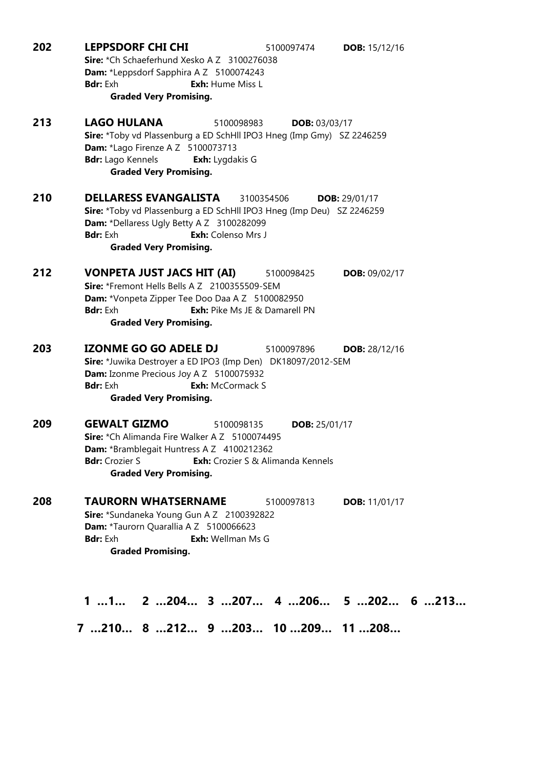| 202 | <b>LEPPSDORF CHI CHI</b><br>5100097474<br><b>DOB:</b> 15/12/16<br>Sire: *Ch Schaeferhund Xesko A Z 3100276038<br>Dam: *Leppsdorf Sapphira A Z 5100074243<br>Exh: Hume Miss L<br><b>Bdr:</b> Exh<br><b>Graded Very Promising.</b>                                        |
|-----|-------------------------------------------------------------------------------------------------------------------------------------------------------------------------------------------------------------------------------------------------------------------------|
| 213 | <b>LAGO HULANA</b><br>5100098983<br>DOB: 03/03/17<br>Sire: *Toby vd Plassenburg a ED SchHll IPO3 Hneg (Imp Gmy) SZ 2246259<br>Dam: *Lago Firenze A Z 5100073713<br><b>Bdr:</b> Lago Kennels<br><b>Exh:</b> Lygdakis G<br><b>Graded Very Promising.</b>                  |
| 210 | <b>DELLARESS EVANGALISTA</b><br>3100354506<br>DOB: 29/01/17<br>Sire: *Toby vd Plassenburg a ED SchHll IPO3 Hneg (Imp Deu) SZ 2246259<br>Dam: *Dellaress Ugly Betty A Z 3100282099<br>Exh: Colenso Mrs J<br><b>Bdr:</b> Exh<br><b>Graded Very Promising.</b>             |
| 212 | <b>VONPETA JUST JACS HIT (AI)</b><br>5100098425<br><b>DOB: 09/02/17</b><br>Sire: *Fremont Hells Bells A Z 2100355509-SEM<br>Dam: *Vonpeta Zipper Tee Doo Daa A Z 5100082950<br><b>Bdr:</b> Exh<br><b>Exh:</b> Pike Ms JE & Damarell PN<br><b>Graded Very Promising.</b> |
| 203 | <b>IZONME GO GO ADELE DJ</b><br>5100097896<br><b>DOB:</b> 28/12/16<br>Sire: *Juwika Destroyer a ED IPO3 (Imp Den) DK18097/2012-SEM<br>Dam: Izonme Precious Joy A Z 5100075932<br><b>Bdr:</b> Exh<br><b>Exh:</b> McCormack S<br><b>Graded Very Promising.</b>            |
| 209 | <b>GEWALT GIZMO</b><br>5100098135<br><b>DOB:</b> 25/01/17<br>Sire: *Ch Alimanda Fire Walker A Z 5100074495<br><b>Dam:</b> *Bramblegait Huntress A Z 4100212362<br><b>Exh:</b> Crozier S & Alimanda Kennels<br><b>Bdr:</b> Crozier S<br><b>Graded Very Promising.</b>    |
| 208 | <b>TAURORN WHATSERNAME</b><br>5100097813<br><b>DOB:</b> 11/01/17<br>Sire: *Sundaneka Young Gun A Z 2100392822<br>Dam: *Taurorn Quarallia A Z 5100066623<br><b>Exh:</b> Wellman Ms G<br><b>Bdr:</b> Exh<br><b>Graded Promising.</b>                                      |
|     | $11$ $2204$ $3207$ $4206$ $5202$ $6213$                                                                                                                                                                                                                                 |

7 …210… 8 …212… 9 …203… 10 …209… 11 …208…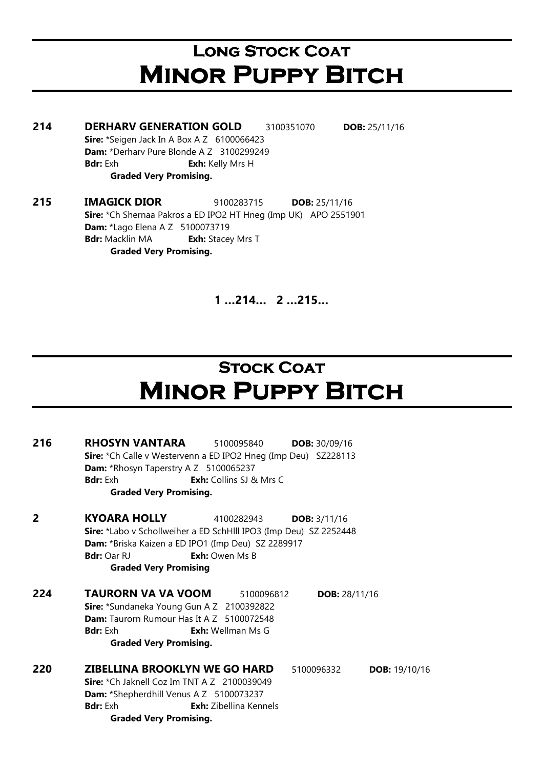# LONG STOCK COAT **MINOR PUPPY BITCH**

214 DERHARV GENERATION GOLD 3100351070 DOB: 25/11/16 Sire: \*Seigen Jack In A Box A Z 6100066423 Dam: \*Derharv Pure Blonde A Z 3100299249 **Bdr:** Exh **Exh:** Kelly Mrs H Graded Very Promising.

215 IMAGICK DIOR 9100283715 DOB: 25/11/16 Sire: \*Ch Shernaa Pakros a ED IPO2 HT Hneg (Imp UK) APO 2551901 Dam: \*Lago Elena A Z 5100073719 **Bdr:** Macklin MA **Exh:** Stacey Mrs T Graded Very Promising.

1 …214… 2 …215…

# **STOCK COAT MINOR PUPPY BITCH**

216 RHOSYN VANTARA 5100095840 DOB: 30/09/16 Sire: \*Ch Calle v Westervenn a ED IPO2 Hneg (Imp Deu) SZ228113 Dam: \*Rhosyn Taperstry A Z 5100065237 **Bdr:** Exh **Exh:** Collins SJ & Mrs C Graded Very Promising. **2** KYOARA HOLLY 4100282943 DOB: 3/11/16 Sire: \*Labo v Schollweiher a ED SchHlll IPO3 (Imp Deu) SZ 2252448 Dam: \*Briska Kaizen a ED IPO1 (Imp Deu) SZ 2289917 Bdr: Oar RJ **Exh:** Owen Ms B Graded Very Promising **224 TAURORN VA VA VOOM** 5100096812 **DOB:** 28/11/16 Sire: \*Sundaneka Young Gun A Z 2100392822 Dam: Taurorn Rumour Has It A Z 5100072548 **Bdr:** Exh **Exh:** Wellman Ms G Graded Very Promising. 220 ZIBELLINA BROOKLYN WE GO HARD 5100096332 DOB: 19/10/16 Sire: \*Ch Jaknell Coz Im TNT A Z 2100039049 Dam: \*Shepherdhill Venus A Z 5100073237 Bdr: Exh **Exh:** Zibellina Kennels Graded Very Promising.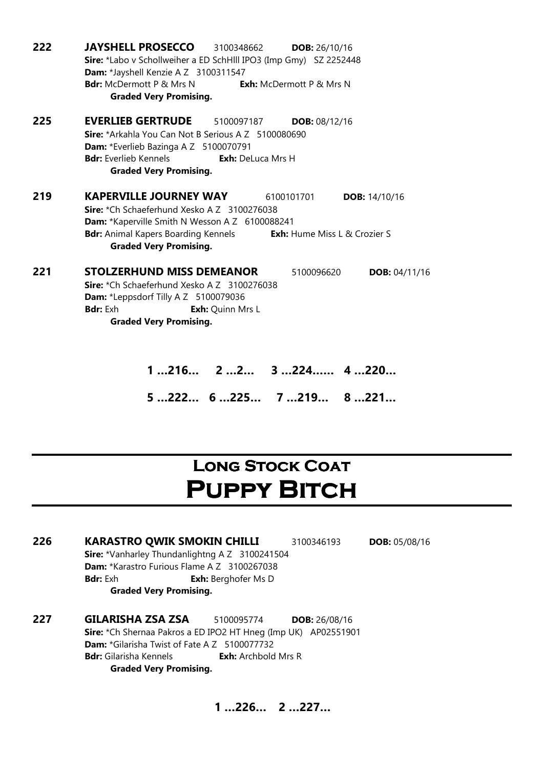| 222 | <b>JAYSHELL PROSECCO</b><br>3100348662<br>DOB: 26/10/16                           |  |  |  |  |  |
|-----|-----------------------------------------------------------------------------------|--|--|--|--|--|
|     | Sire: *Labo v Schollweiher a ED SchHlll IPO3 (Imp Gmy) SZ 2252448                 |  |  |  |  |  |
|     | Dam: *Jayshell Kenzie A Z 3100311547                                              |  |  |  |  |  |
|     | <b>Bdr:</b> McDermott P & Mrs N<br><b>Exh:</b> McDermott P & Mrs N                |  |  |  |  |  |
|     | <b>Graded Very Promising.</b>                                                     |  |  |  |  |  |
| 225 | <b>EVERLIEB GERTRUDE</b><br>5100097187<br>DOB: 08/12/16                           |  |  |  |  |  |
|     | Sire: *Arkahla You Can Not B Serious A Z 5100080690                               |  |  |  |  |  |
|     | Dam: *Everlieb Bazinga A Z 5100070791                                             |  |  |  |  |  |
|     | <b>Bdr:</b> Everlieb Kennels<br><b>Exh:</b> DeLuca Mrs H                          |  |  |  |  |  |
|     | <b>Graded Very Promising.</b>                                                     |  |  |  |  |  |
| 219 | <b>KAPERVILLE JOURNEY WAY</b><br>6100101701<br><b>DOB: 14/10/16</b>               |  |  |  |  |  |
|     | Sire: *Ch Schaeferhund Xesko A Z 3100276038                                       |  |  |  |  |  |
|     | Dam: *Kaperville Smith N Wesson A Z 6100088241                                    |  |  |  |  |  |
|     | <b>Bdr:</b> Animal Kapers Boarding Kennels<br><b>Exh:</b> Hume Miss L & Crozier S |  |  |  |  |  |
|     | <b>Graded Very Promising.</b>                                                     |  |  |  |  |  |
| 221 | <b>STOLZERHUND MISS DEMEANOR</b><br>5100096620<br><b>DOB:</b> $04/11/16$          |  |  |  |  |  |
|     | Sire: *Ch Schaeferhund Xesko A Z 3100276038                                       |  |  |  |  |  |
|     | Dam: *Leppsdorf Tilly A Z 5100079036                                              |  |  |  |  |  |
|     | <b>Bdr:</b> Exh<br>Exh: Quinn Mrs L                                               |  |  |  |  |  |
|     | <b>Graded Very Promising.</b>                                                     |  |  |  |  |  |
|     |                                                                                   |  |  |  |  |  |
|     |                                                                                   |  |  |  |  |  |
|     | $3224$ 4 220<br>$1216$ $22$                                                       |  |  |  |  |  |

5 …222… 6 …225… 7 …219… 8 …221…

#### **LONG STOCK COAT** PUPPY BITCH

226 KARASTRO QWIK SMOKIN CHILLI 3100346193 DOB: 05/08/16 Sire: \*Vanharley Thundanlightng A Z 3100241504 Dam: \*Karastro Furious Flame A Z 3100267038 **Bdr:** Exh **Exh:** Berghofer Ms D Graded Very Promising.

227 GILARISHA ZSA ZSA 5100095774 DOB: 26/08/16 Sire: \*Ch Shernaa Pakros a ED IPO2 HT Hneg (Imp UK) AP02551901 Dam: \*Gilarisha Twist of Fate A Z 5100077732 **Bdr:** Gilarisha Kennels **Exh:** Archbold Mrs R Graded Very Promising.

1 …226… 2 …227…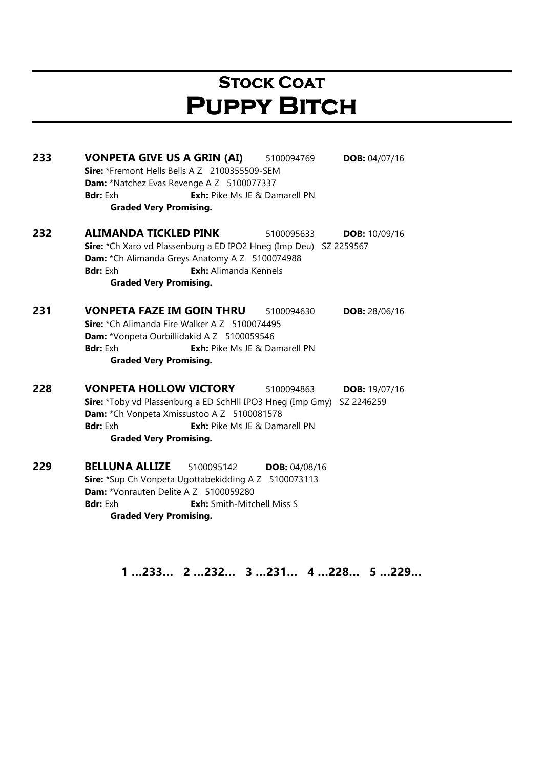### **STOCK COAT** PUPPY BITCH

233 VONPETA GIVE US A GRIN (AI) 5100094769 DOB: 04/07/16 Sire: \*Fremont Hells Bells A Z 2100355509-SEM Dam: \*Natchez Evas Revenge A Z 5100077337 **Bdr:** Exh **Exh:** Pike Ms JE & Damarell PN Graded Very Promising. **232 ALIMANDA TICKLED PINK** 5100095633 **DOB:** 10/09/16 Sire: \*Ch Xaro vd Plassenburg a ED IPO2 Hneg (Imp Deu) SZ 2259567 Dam: \*Ch Alimanda Greys Anatomy A Z 5100074988 Bdr: Exh **Exh:** Alimanda Kennels Graded Very Promising. 231 VONPETA FAZE IM GOIN THRU 5100094630 DOB: 28/06/16 Sire: \*Ch Alimanda Fire Walker A Z 5100074495 Dam: \*Vonpeta Ourbillidakid A Z 5100059546 **Bdr:** Exh **Exh:** Pike Ms JE & Damarell PN Graded Very Promising. 228 VONPETA HOLLOW VICTORY 5100094863 DOB: 19/07/16 Sire: \*Toby vd Plassenburg a ED SchHll IPO3 Hneg (Imp Gmy) SZ 2246259 Dam: \*Ch Vonpeta Xmissustoo A Z 5100081578 **Bdr:** Exh: Pike Ms JE & Damarell PN Graded Very Promising. 229 BELLUNA ALLIZE 5100095142 DOB: 04/08/16 Sire: \*Sup Ch Vonpeta Ugottabekidding A Z 5100073113 Dam: \*Vonrauten Delite A Z 5100059280 **Bdr:** Exh: Smith-Mitchell Miss S Graded Very Promising.

1 …233… 2 …232… 3 …231… 4 …228… 5 …229…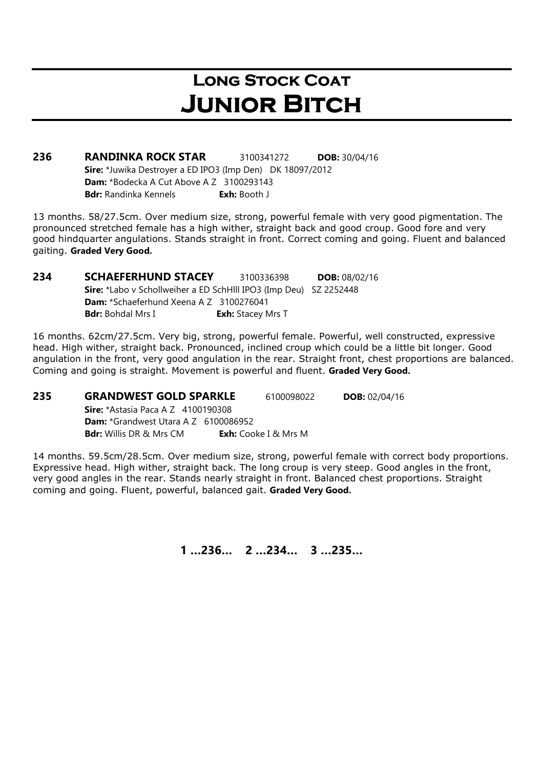### LONG STOCK COAT **JUNIOR BITCH**

236 RANDINKA ROCK STAR 3100341272 DOB: 30/04/16 Sire: \*Juwika Destroyer a ED IPO3 (Imp Den) DK 18097/2012 Dam: \*Bodecka A Cut Above A Z 3100293143 Bdr: Randinka Kennels **Exh: Booth J** 

13 months. 58/27.5cm. Over medium size, strong, powerful female with very good pigmentation. The pronounced stretched female has a high wither, straight back and good croup. Good fore and very good hindquarter angulations. Stands straight in front. Correct coming and going. Fluent and balanced gaiting. Graded Very Good.

**234 SCHAEFERHUND STACEY** 3100336398 **DOB:** 08/02/16 Sire: \*Labo v Schollweiher a ED SchHlll IPO3 (Imp Deu) SZ 2252448 Dam: \*Schaeferhund Xeena A Z 3100276041 Bdr: Bohdal Mrs I Exh: Stacey Mrs T

16 months. 62cm/27.5cm. Very big, strong, powerful female. Powerful, well constructed, expressive head. High wither, straight back. Pronounced, inclined croup which could be a little bit longer. Good angulation in the front, very good angulation in the rear. Straight front, chest proportions are balanced. Coming and going is straight. Movement is powerful and fluent. Graded Very Good.

**235 GRANDWEST GOLD SPARKLE** 6100098022 **DOB:** 02/04/16 **Sire:** \*Astasia Paca A Z 4100190308 Dam: \*Grandwest Utara A Z 6100086952 **Bdr:** Willis DR & Mrs CM **Exh:** Cooke I & Mrs M

14 months. 59.5cm/28.5cm. Over medium size, strong, powerful female with correct body proportions. Expressive head. High wither, straight back. The long croup is very steep. Good angles in the front, very good angles in the rear. Stands nearly straight in front. Balanced chest proportions. Straight coming and going. Fluent, powerful, balanced gait. Graded Very Good.

1 …236… 2 …234… 3 …235…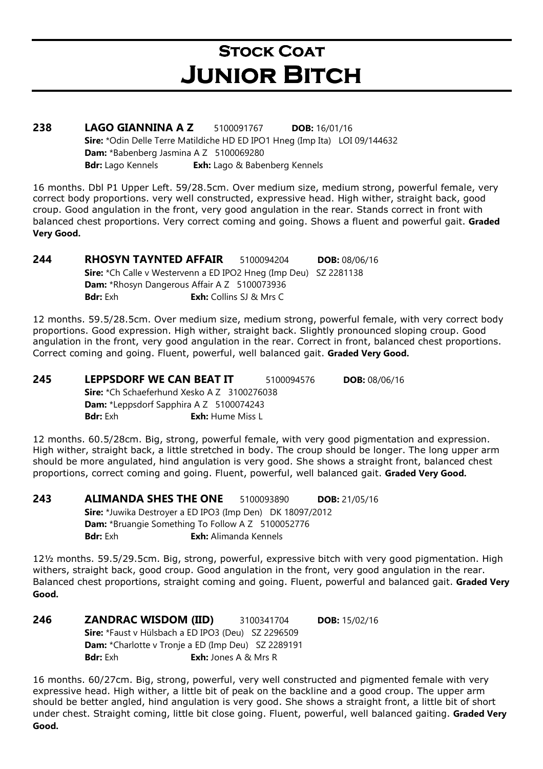# **STOCK COAT JUNIOR BITCH**

238 LAGO GIANNINA A Z 5100091767 DOB: 16/01/16 Sire: \*Odin Delle Terre Matildiche HD ED IPO1 Hneg (Imp Ita) LOI 09/144632 Dam: \*Babenberg Jasmina A Z 5100069280 Bdr: Lago Kennels Exh: Lago & Babenberg Kennels

16 months. Dbl P1 Upper Left. 59/28.5cm. Over medium size, medium strong, powerful female, very correct body proportions. very well constructed, expressive head. High wither, straight back, good croup. Good angulation in the front, very good angulation in the rear. Stands correct in front with balanced chest proportions. Very correct coming and going. Shows a fluent and powerful gait. Graded Very Good.

244 RHOSYN TAYNTED AFFAIR 5100094204 DOB: 08/06/16 Sire: \*Ch Calle v Westervenn a ED IPO2 Hneg (Imp Deu) SZ 2281138 Dam: \*Rhosyn Dangerous Affair A Z 5100073936 **Bdr:** Exh **Exh:** Collins SJ & Mrs C

12 months. 59.5/28.5cm. Over medium size, medium strong, powerful female, with very correct body proportions. Good expression. High wither, straight back. Slightly pronounced sloping croup. Good angulation in the front, very good angulation in the rear. Correct in front, balanced chest proportions. Correct coming and going. Fluent, powerful, well balanced gait. Graded Very Good.

**245 LEPPSDORF WE CAN BEAT IT** 5100094576 **DOB:** 08/06/16 Sire: \*Ch Schaeferhund Xesko A Z 3100276038 Dam: \*Leppsdorf Sapphira A Z 5100074243 Bdr: Exh **Exh:** Hume Miss L

12 months. 60.5/28cm. Big, strong, powerful female, with very good pigmentation and expression. High wither, straight back, a little stretched in body. The croup should be longer. The long upper arm should be more angulated, hind angulation is very good. She shows a straight front, balanced chest proportions, correct coming and going. Fluent, powerful, well balanced gait. Graded Very Good.

243 ALIMANDA SHES THE ONE 5100093890 DOB: 21/05/16 Sire: \*Juwika Destroyer a ED IPO3 (Imp Den) DK 18097/2012 Dam: \*Bruangie Something To Follow A Z 5100052776 **Bdr:** Exh: Alimanda Kennels

12½ months. 59.5/29.5cm. Big, strong, powerful, expressive bitch with very good pigmentation. High withers, straight back, good croup. Good angulation in the front, very good angulation in the rear. Balanced chest proportions, straight coming and going. Fluent, powerful and balanced gait. Graded Very Good.

246 ZANDRAC WISDOM (IID) 3100341704 DOB: 15/02/16 Sire: \*Faust v Hülsbach a ED IPO3 (Deu) SZ 2296509 Dam: \*Charlotte v Tronje a ED (Imp Deu) SZ 2289191 Bdr: Exh Exh: Jones A & Mrs R

16 months. 60/27cm. Big, strong, powerful, very well constructed and pigmented female with very expressive head. High wither, a little bit of peak on the backline and a good croup. The upper arm should be better angled, hind angulation is very good. She shows a straight front, a little bit of short under chest. Straight coming, little bit close going. Fluent, powerful, well balanced gaiting. Graded Very Good.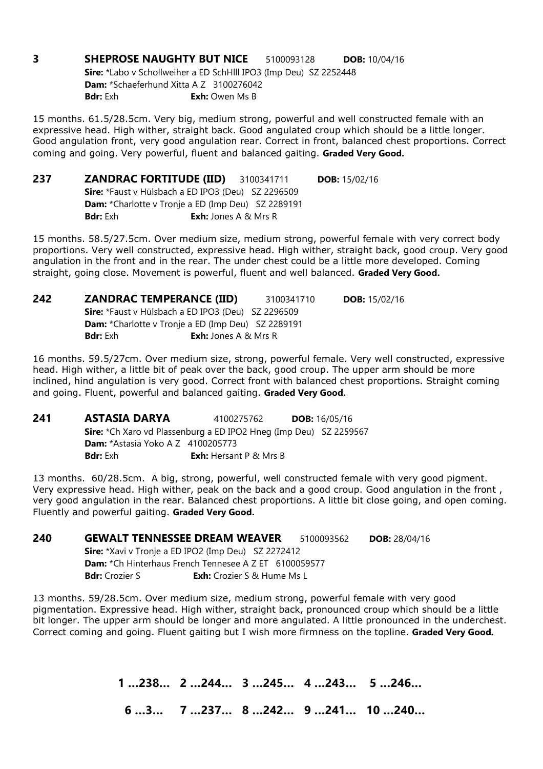**3 SHEPROSE NAUGHTY BUT NICE** 5100093128 **DOB:** 10/04/16 Sire: \*Labo v Schollweiher a ED SchHlll IPO3 (Imp Deu) SZ 2252448 Dam: \*Schaeferhund Xitta A Z 3100276042 **Bdr:** Exh **Exh:** Owen Ms B

15 months. 61.5/28.5cm. Very big, medium strong, powerful and well constructed female with an expressive head. High wither, straight back. Good angulated croup which should be a little longer. Good angulation front, very good angulation rear. Correct in front, balanced chest proportions. Correct coming and going. Very powerful, fluent and balanced gaiting. Graded Very Good.

| 237 |                                                           | <b>ZANDRAC FORTITUDE (IID)</b> 3100341711                 | <b>DOB:</b> $15/02/16$ |  |
|-----|-----------------------------------------------------------|-----------------------------------------------------------|------------------------|--|
|     | <b>Sire:</b> *Faust v Hülsbach a ED IPO3 (Deu) SZ 2296509 |                                                           |                        |  |
|     |                                                           | <b>Dam:</b> *Charlotte v Tronje a ED (Imp Deu) SZ 2289191 |                        |  |
|     | <b>Bdr:</b> Exh                                           | <b>Exh:</b> Jones A & Mrs R                               |                        |  |

15 months. 58.5/27.5cm. Over medium size, medium strong, powerful female with very correct body proportions. Very well constructed, expressive head. High wither, straight back, good croup. Very good angulation in the front and in the rear. The under chest could be a little more developed. Coming straight, going close. Movement is powerful, fluent and well balanced. Graded Very Good.

| 242 | <b>ZANDRAC TEMPERANCE (IID)</b>                           |                                                           | 3100341710 | <b>DOB:</b> $15/02/16$ |  |
|-----|-----------------------------------------------------------|-----------------------------------------------------------|------------|------------------------|--|
|     | <b>Sire:</b> *Faust v Hülsbach a ED IPO3 (Deu) SZ 2296509 |                                                           |            |                        |  |
|     |                                                           | <b>Dam:</b> *Charlotte v Tronje a ED (Imp Deu) SZ 2289191 |            |                        |  |
|     | <b>Bdr:</b> Exh                                           | <b>Exh:</b> Jones A & Mrs R                               |            |                        |  |

16 months. 59.5/27cm. Over medium size, strong, powerful female. Very well constructed, expressive head. High wither, a little bit of peak over the back, good croup. The upper arm should be more inclined, hind angulation is very good. Correct front with balanced chest proportions. Straight coming and going. Fluent, powerful and balanced gaiting. Graded Very Good.

241 ASTASIA DARYA 4100275762 DOB: 16/05/16 Sire: \*Ch Xaro vd Plassenburg a ED IPO2 Hneg (Imp Deu) SZ 2259567 **Dam:** \*Astasia Yoko A Z 4100205773 **Bdr:** Exh **Exh:** Hersant P & Mrs B

13 months. 60/28.5cm. A big, strong, powerful, well constructed female with very good pigment. Very expressive head. High wither, peak on the back and a good croup. Good angulation in the front , very good angulation in the rear. Balanced chest proportions. A little bit close going, and open coming. Fluently and powerful gaiting. Graded Very Good.

240 GEWALT TENNESSEE DREAM WEAVER 5100093562 DOB: 28/04/16 Sire: \*Xavi v Tronje a ED IPO2 (Imp Deu) SZ 2272412 Dam: \*Ch Hinterhaus French Tennesee A Z ET 6100059577 **Bdr:** Crozier S **Exh:** Crozier S & Hume Ms L

13 months. 59/28.5cm. Over medium size, medium strong, powerful female with very good pigmentation. Expressive head. High wither, straight back, pronounced croup which should be a little bit longer. The upper arm should be longer and more angulated. A little pronounced in the underchest. Correct coming and going. Fluent gaiting but I wish more firmness on the topline. Graded Very Good.

1 …238… 2 …244… 3 …245… 4 …243… 5 …246…

6 …3… 7 …237… 8 …242… 9 …241… 10 …240…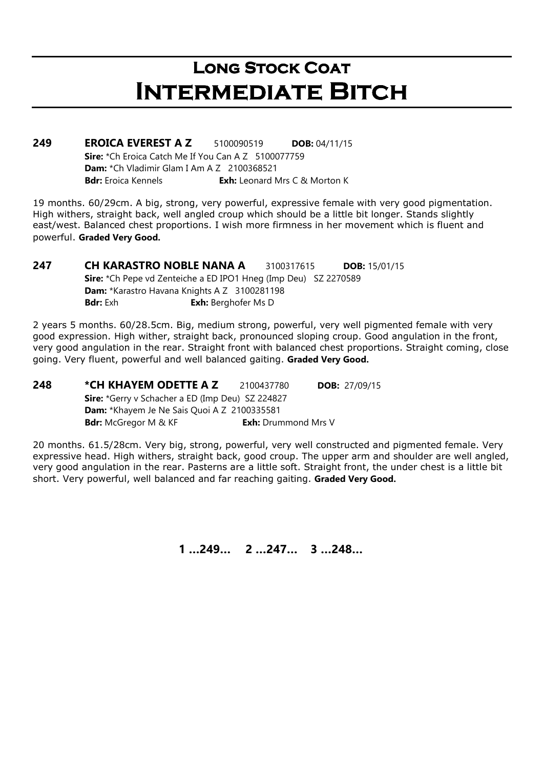### LONG STOCK COAT Intermediate Bitch

**249 EROICA EVEREST A Z** 5100090519 **DOB:** 04/11/15 Sire: \*Ch Eroica Catch Me If You Can A Z 5100077759 Dam: \*Ch Vladimir Glam I Am A Z 2100368521 **Bdr:** Eroica Kennels **Exh:** Leonard Mrs C & Morton K

19 months. 60/29cm. A big, strong, very powerful, expressive female with very good pigmentation. High withers, straight back, well angled croup which should be a little bit longer. Stands slightly east/west. Balanced chest proportions. I wish more firmness in her movement which is fluent and powerful. Graded Very Good.

**247 CH KARASTRO NOBLE NANA A 3100317615 DOB: 15/01/15** Sire: \*Ch Pepe vd Zenteiche a ED IPO1 Hneg (Imp Deu) SZ 2270589 Dam: \*Karastro Havana Knights A Z 3100281198 **Bdr:** Exh **Exh:** Berghofer Ms D

2 years 5 months. 60/28.5cm. Big, medium strong, powerful, very well pigmented female with very good expression. High wither, straight back, pronounced sloping croup. Good angulation in the front, very good angulation in the rear. Straight front with balanced chest proportions. Straight coming, close going. Very fluent, powerful and well balanced gaiting. Graded Very Good.

**248 \*CH KHAYEM ODETTE A Z** 2100437780 **DOB:** 27/09/15 Sire: \*Gerry v Schacher a ED (Imp Deu) SZ 224827 Dam: \*Khayem Je Ne Sais Quoi A Z 2100335581 **Bdr:** McGregor M & KF **Exh:** Drummond Mrs V

20 months. 61.5/28cm. Very big, strong, powerful, very well constructed and pigmented female. Very expressive head. High withers, straight back, good croup. The upper arm and shoulder are well angled, very good angulation in the rear. Pasterns are a little soft. Straight front, the under chest is a little bit short. Very powerful, well balanced and far reaching gaiting. Graded Very Good.

1 …249… 2 …247… 3 …248…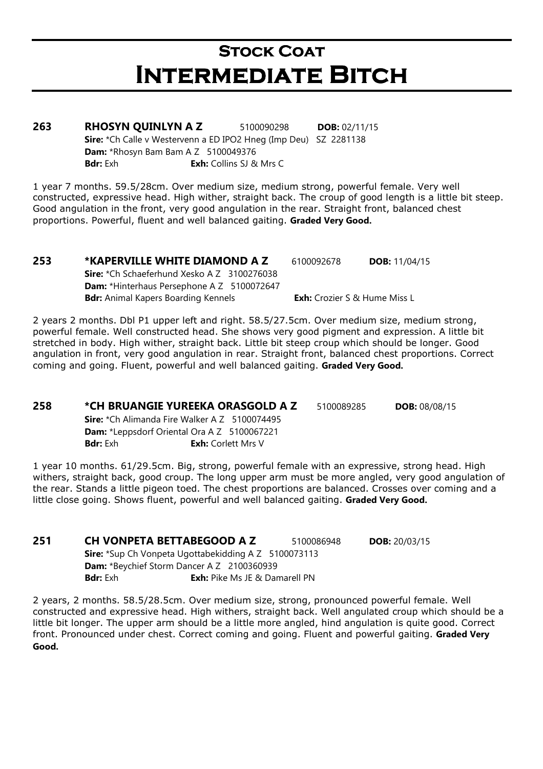### **STOCK COAT** Intermediate Bitch

**263 RHOSYN QUINLYN A Z** 5100090298 **DOB:** 02/11/15 Sire: \*Ch Calle v Westervenn a ED IPO2 Hneg (Imp Deu) SZ 2281138 **Dam:** \*Rhosyn Bam Bam A Z 5100049376 **Bdr:** Exh **Exh:** Collins SJ & Mrs C

1 year 7 months. 59.5/28cm. Over medium size, medium strong, powerful female. Very well constructed, expressive head. High wither, straight back. The croup of good length is a little bit steep. Good angulation in the front, very good angulation in the rear. Straight front, balanced chest proportions. Powerful, fluent and well balanced gaiting. Graded Very Good.

#### 253 \*KAPERVILLE WHITE DIAMOND A Z 6100092678 DOB: 11/04/15 Sire: \*Ch Schaeferhund Xesko A Z 3100276038 Dam: \*Hinterhaus Persephone A Z 5100072647

**Bdr:** Animal Kapers Boarding Kennels **Exh:** Crozier S & Hume Miss L

2 years 2 months. Dbl P1 upper left and right. 58.5/27.5cm. Over medium size, medium strong, powerful female. Well constructed head. She shows very good pigment and expression. A little bit stretched in body. High wither, straight back. Little bit steep croup which should be longer. Good angulation in front, very good angulation in rear. Straight front, balanced chest proportions. Correct coming and going. Fluent, powerful and well balanced gaiting. Graded Very Good.

#### 258 \*CH BRUANGIE YUREEKA ORASGOLD A Z 5100089285 DOB: 08/08/15

Sire: \*Ch Alimanda Fire Walker A Z 5100074495 Dam: \*Leppsdorf Oriental Ora A Z 5100067221 **Bdr:** Exh: Corlett Mrs V

1 year 10 months. 61/29.5cm. Big, strong, powerful female with an expressive, strong head. High withers, straight back, good croup. The long upper arm must be more angled, very good angulation of the rear. Stands a little pigeon toed. The chest proportions are balanced. Crosses over coming and a little close going. Shows fluent, powerful and well balanced gaiting. Graded Very Good.

**251 CH VONPETA BETTABEGOOD A Z** 5100086948 **DOB:** 20/03/15 Sire: \*Sup Ch Vonpeta Ugottabekidding A Z 5100073113 Dam: \*Beychief Storm Dancer A Z 2100360939 **Bdr:** Exh: Pike Ms JE & Damarell PN

2 years, 2 months. 58.5/28.5cm. Over medium size, strong, pronounced powerful female. Well constructed and expressive head. High withers, straight back. Well angulated croup which should be a little bit longer. The upper arm should be a little more angled, hind angulation is quite good. Correct front. Pronounced under chest. Correct coming and going. Fluent and powerful gaiting. Graded Very Good.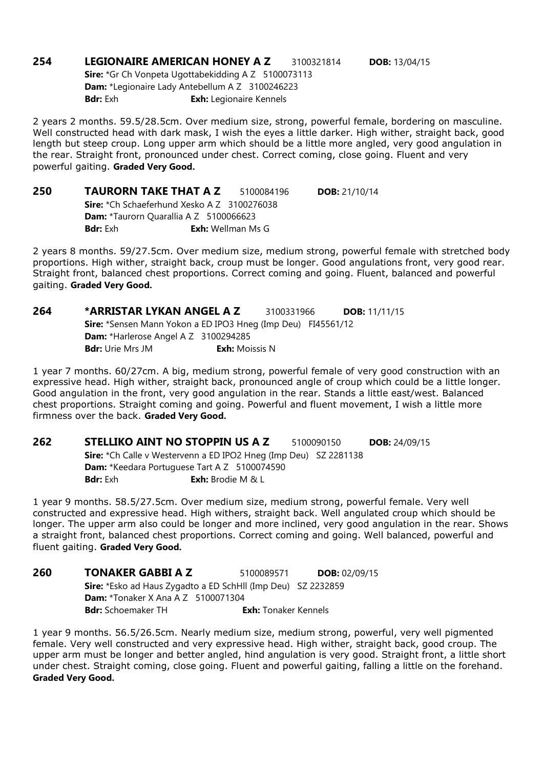254 LEGIONAIRE AMERICAN HONEY A Z 3100321814 DOB: 13/04/15 Sire: \*Gr Ch Vonpeta Ugottabekidding A Z 5100073113 Dam: \*Legionaire Lady Antebellum A Z 3100246223 Bdr: Exh **Exh:** Legionaire Kennels

2 years 2 months. 59.5/28.5cm. Over medium size, strong, powerful female, bordering on masculine. Well constructed head with dark mask, I wish the eyes a little darker. High wither, straight back, good length but steep croup. Long upper arm which should be a little more angled, very good angulation in the rear. Straight front, pronounced under chest. Correct coming, close going. Fluent and very powerful gaiting. Graded Very Good.

| 250 | <b>TAURORN TAKE THAT A Z</b>                          |  | 5100084196               | <b>DOB:</b> 21/10/14 |  |
|-----|-------------------------------------------------------|--|--------------------------|----------------------|--|
|     | <b>Sire:</b> $*$ Ch Schaeferhund Xesko A Z 3100276038 |  |                          |                      |  |
|     | <b>Dam:</b> *Taurorn Quarallia A Z 5100066623         |  |                          |                      |  |
|     | <b>Bdr:</b> Exh                                       |  | <b>Exh:</b> Wellman Ms G |                      |  |

2 years 8 months. 59/27.5cm. Over medium size, medium strong, powerful female with stretched body proportions. High wither, straight back, croup must be longer. Good angulations front, very good rear. Straight front, balanced chest proportions. Correct coming and going. Fluent, balanced and powerful gaiting. Graded Very Good.

264 \*ARRISTAR LYKAN ANGEL A Z 3100331966 DOB: 11/11/15 Sire: \*Sensen Mann Yokon a ED IPO3 Hneg (Imp Deu) FI45561/12 Dam: \*Harlerose Angel A Z 3100294285 **Bdr:** Urie Mrs JM **Exh:** Moissis N

1 year 7 months. 60/27cm. A big, medium strong, powerful female of very good construction with an expressive head. High wither, straight back, pronounced angle of croup which could be a little longer. Good angulation in the front, very good angulation in the rear. Stands a little east/west. Balanced chest proportions. Straight coming and going. Powerful and fluent movement, I wish a little more firmness over the back. Graded Very Good.

262 STELLIKO AINT NO STOPPIN US A Z 5100090150 DOB: 24/09/15 Sire: \*Ch Calle v Westervenn a ED IPO2 Hneg (Imp Deu) SZ 2281138 Dam: \*Keedara Portuguese Tart A Z 5100074590 **Bdr:** Exh: **Exh:** Brodie M & L

1 year 9 months. 58.5/27.5cm. Over medium size, medium strong, powerful female. Very well constructed and expressive head. High withers, straight back. Well angulated croup which should be longer. The upper arm also could be longer and more inclined, very good angulation in the rear. Shows a straight front, balanced chest proportions. Correct coming and going. Well balanced, powerful and fluent gaiting. Graded Very Good.

**260 TONAKER GABBI A Z** 5100089571 **DOB:** 02/09/15 Sire: \*Esko ad Haus Zvgadto a ED SchHll (Imp Deu) SZ 2232859 Dam: \*Tonaker X Ana A Z 5100071304 **Bdr:** Schoemaker TH **Exh:** Tonaker Kennels

1 year 9 months. 56.5/26.5cm. Nearly medium size, medium strong, powerful, very well pigmented female. Very well constructed and very expressive head. High wither, straight back, good croup. The upper arm must be longer and better angled, hind angulation is very good. Straight front, a little short under chest. Straight coming, close going. Fluent and powerful gaiting, falling a little on the forehand. Graded Very Good.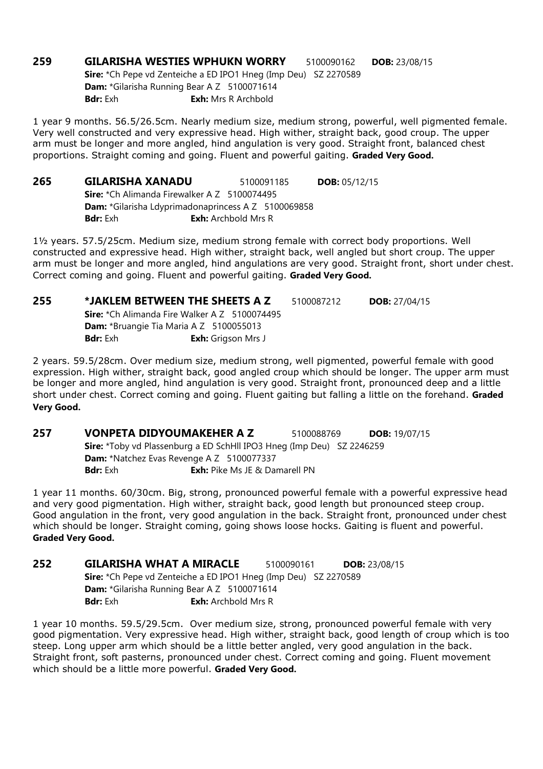259 GILARISHA WESTIES WPHUKN WORRY 5100090162 DOB: 23/08/15 Sire: \*Ch Pepe vd Zenteiche a ED IPO1 Hneg (Imp Deu) SZ 2270589 Dam: \*Gilarisha Running Bear A Z 5100071614 **Bdr:** Exh: Mrs R Archbold

1 year 9 months. 56.5/26.5cm. Nearly medium size, medium strong, powerful, well pigmented female. Very well constructed and very expressive head. High wither, straight back, good croup. The upper arm must be longer and more angled, hind angulation is very good. Straight front, balanced chest proportions. Straight coming and going. Fluent and powerful gaiting. Graded Very Good.

265 GILARISHA XANADU 5100091185 DOB: 05/12/15 Sire: \*Ch Alimanda Firewalker A Z 5100074495 Dam: \*Gilarisha Ldyprimadonaprincess A Z 5100069858 **Bdr:** Exh: Archbold Mrs R

1½ years. 57.5/25cm. Medium size, medium strong female with correct body proportions. Well constructed and expressive head. High wither, straight back, well angled but short croup. The upper arm must be longer and more angled, hind angulations are very good. Straight front, short under chest. Correct coming and going. Fluent and powerful gaiting. Graded Very Good.

| 255 |                 | *JAKLEM BETWEEN THE SHEETS A Z                       | 5100087212 | <b>DOB:</b> $27/04/15$ |
|-----|-----------------|------------------------------------------------------|------------|------------------------|
|     |                 | <b>Sire:</b> *Ch Alimanda Fire Walker A Z 5100074495 |            |                        |
|     |                 | <b>Dam:</b> *Bruangie Tia Maria A Z 5100055013       |            |                        |
|     | <b>Bdr:</b> Exh | <b>Exh:</b> Grigson Mrs J                            |            |                        |

2 years. 59.5/28cm. Over medium size, medium strong, well pigmented, powerful female with good expression. High wither, straight back, good angled croup which should be longer. The upper arm must be longer and more angled, hind angulation is very good. Straight front, pronounced deep and a little short under chest. Correct coming and going. Fluent gaiting but falling a little on the forehand. Graded Very Good.

257 VONPETA DIDYOUMAKEHER A Z 5100088769 DOB: 19/07/15 Sire: \*Toby vd Plassenburg a ED SchHll IPO3 Hneg (Imp Deu) SZ 2246259 Dam: \*Natchez Evas Revenge A Z 5100077337 **Bdr:** Exh: Pike Ms JE & Damarell PN

1 year 11 months. 60/30cm. Big, strong, pronounced powerful female with a powerful expressive head and very good pigmentation. High wither, straight back, good length but pronounced steep croup. Good angulation in the front, very good angulation in the back. Straight front, pronounced under chest which should be longer. Straight coming, going shows loose hocks. Gaiting is fluent and powerful. Graded Very Good.

252 GILARISHA WHAT A MIRACLE 5100090161 DOB: 23/08/15 Sire: \*Ch Pepe vd Zenteiche a ED IPO1 Hneg (Imp Deu) SZ 2270589 Dam: \*Gilarisha Running Bear A Z 5100071614 **Bdr:** Exh **Exh:** Archbold Mrs R

1 year 10 months. 59.5/29.5cm. Over medium size, strong, pronounced powerful female with very good pigmentation. Very expressive head. High wither, straight back, good length of croup which is too steep. Long upper arm which should be a little better angled, very good angulation in the back. Straight front, soft pasterns, pronounced under chest. Correct coming and going. Fluent movement which should be a little more powerful. Graded Very Good.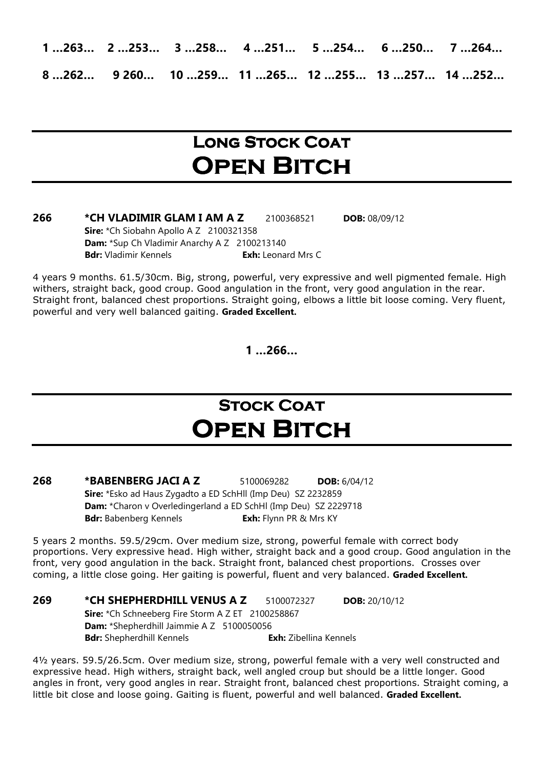1 …263… 2 …253… 3 …258… 4 …251… 5 …254… 6 …250… 7 …264… 8 …262… 9 260… 10 …259… 11 …265… 12 …255… 13 …257… 14 …252…

### LONG STOCK COAT **OPEN BITCH**

#### **266 \*CH VLADIMIR GLAM I AM A Z** 2100368521 **DOB:** 08/09/12 Sire: \*Ch Siobahn Apollo A Z 2100321358 Dam: \*Sup Ch Vladimir Anarchy A Z 2100213140 Bdr: Vladimir Kennels **Exh:** Leonard Mrs C

4 years 9 months. 61.5/30cm. Big, strong, powerful, very expressive and well pigmented female. High withers, straight back, good croup. Good angulation in the front, very good angulation in the rear. Straight front, balanced chest proportions. Straight going, elbows a little bit loose coming. Very fluent, powerful and very well balanced gaiting. Graded Excellent.

1 …266…

### **STOCK COAT OPEN BITCH**

268 \*BABENBERG JACI A Z 5100069282 DOB: 6/04/12 Sire: \*Esko ad Haus Zygadto a ED SchHll (Imp Deu) SZ 2232859 Dam: \*Charon v Overledingerland a ED SchHl (Imp Deu) SZ 2229718 Bdr: Babenberg Kennels **Exh:** Flynn PR & Mrs KY

5 years 2 months. 59.5/29cm. Over medium size, strong, powerful female with correct body proportions. Very expressive head. High wither, straight back and a good croup. Good angulation in the front, very good angulation in the back. Straight front, balanced chest proportions. Crosses over coming, a little close going. Her gaiting is powerful, fluent and very balanced. Graded Excellent.

#### **269 \* CH SHEPHERDHILL VENUS A Z** 5100072327 **DOB:** 20/10/12 Sire: \*Ch Schneeberg Fire Storm A Z ET 2100258867 Dam: \*Shepherdhill Jaimmie A Z 5100050056 Bdr: Shepherdhill Kennels **Exh:** Zibellina Kennels

4½ years. 59.5/26.5cm. Over medium size, strong, powerful female with a very well constructed and expressive head. High withers, straight back, well angled croup but should be a little longer. Good angles in front, very good angles in rear. Straight front, balanced chest proportions. Straight coming, a little bit close and loose going. Gaiting is fluent, powerful and well balanced. Graded Excellent.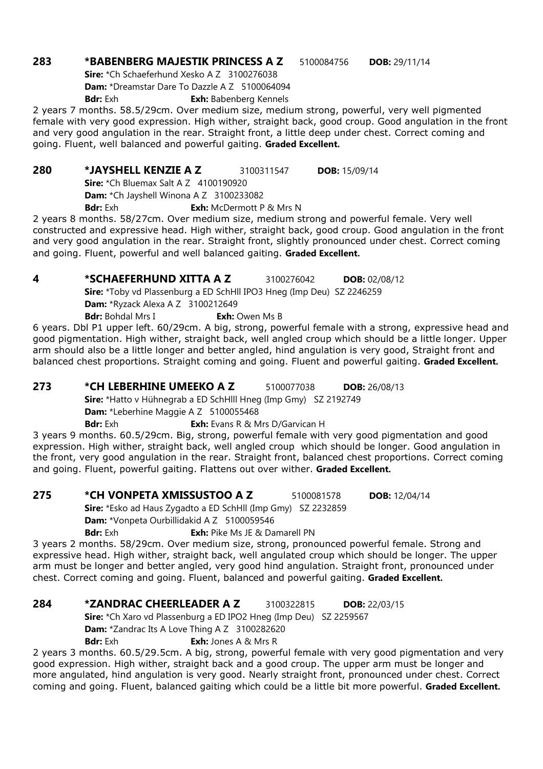#### 283 \*BABENBERG MAJESTIK PRINCESS A Z 5100084756 DOB: 29/11/14

Sire: \*Ch Schaeferhund Xesko A Z 3100276038 Dam: \*Dreamstar Dare To Dazzle A Z 5100064094 Bdr: Exh **Exh:** Babenberg Kennels

2 years 7 months. 58.5/29cm. Over medium size, medium strong, powerful, very well pigmented female with very good expression. High wither, straight back, good croup. Good angulation in the front and very good angulation in the rear. Straight front, a little deep under chest. Correct coming and going. Fluent, well balanced and powerful gaiting. Graded Excellent.

280 \*JAYSHELL KENZIE A Z 3100311547 DOB: 15/09/14

**Sire:** \*Ch Bluemax Salt A Z 4100190920

Dam: \*Ch Jayshell Winona A Z 3100233082

**Bdr:** Exh: McDermott P & Mrs N

2 years 8 months. 58/27cm. Over medium size, medium strong and powerful female. Very well constructed and expressive head. High wither, straight back, good croup. Good angulation in the front and very good angulation in the rear. Straight front, slightly pronounced under chest. Correct coming and going. Fluent, powerful and well balanced gaiting. Graded Excellent.

4 \*SCHAEFERHUND XITTA A Z 3100276042 DOB: 02/08/12

Sire: \*Toby vd Plassenburg a ED SchHll IPO3 Hneg (Imp Deu) SZ 2246259

**Dam:** \*Ryzack Alexa A Z 3100212649

**Bdr:** Bohdal Mrs I **Exh:** Owen Ms B

6 years. Dbl P1 upper left. 60/29cm. A big, strong, powerful female with a strong, expressive head and good pigmentation. High wither, straight back, well angled croup which should be a little longer. Upper arm should also be a little longer and better angled, hind angulation is very good, Straight front and balanced chest proportions. Straight coming and going. Fluent and powerful gaiting. Graded Excellent.

**273 \*CH LEBERHINE UMEEKO A Z** 5100077038 **DOB:** 26/08/13

Sire: \*Hatto v Hühnegrab a ED SchHlll Hneg (Imp Gmy) SZ 2192749

Dam: \*Leberhine Maggie A Z 5100055468

Bdr: Exh **Exh:** Evans R & Mrs D/Garvican H

3 years 9 months. 60.5/29cm. Big, strong, powerful female with very good pigmentation and good expression. High wither, straight back, well angled croup which should be longer. Good angulation in the front, very good angulation in the rear. Straight front, balanced chest proportions. Correct coming and going. Fluent, powerful gaiting. Flattens out over wither. Graded Excellent.

275 \* CH VONPETA XMISSUSTOO A Z 5100081578 DOB: 12/04/14

Sire: \*Esko ad Haus Zygadto a ED SchHll (Imp Gmy) SZ 2232859

Dam: \*Vonpeta Ourbillidakid A Z 5100059546

**Bdr:** Exh: Pike Ms JE & Damarell PN

3 years 2 months. 58/29cm. Over medium size, strong, pronounced powerful female. Strong and expressive head. High wither, straight back, well angulated croup which should be longer. The upper arm must be longer and better angled, very good hind angulation. Straight front, pronounced under chest. Correct coming and going. Fluent, balanced and powerful gaiting. Graded Excellent.

#### **284 \*ZANDRAC CHEERLEADER A Z** 3100322815 **DOB:** 22/03/15

Sire: \*Ch Xaro vd Plassenburg a ED IPO2 Hneg (Imp Deu) SZ 2259567

Dam: \*Zandrac Its A Love Thing A Z 3100282620

**Bdr:** Exh: Jones A & Mrs R

2 years 3 months. 60.5/29.5cm. A big, strong, powerful female with very good pigmentation and very good expression. High wither, straight back and a good croup. The upper arm must be longer and more angulated, hind angulation is very good. Nearly straight front, pronounced under chest. Correct coming and going. Fluent, balanced gaiting which could be a little bit more powerful. Graded Excellent.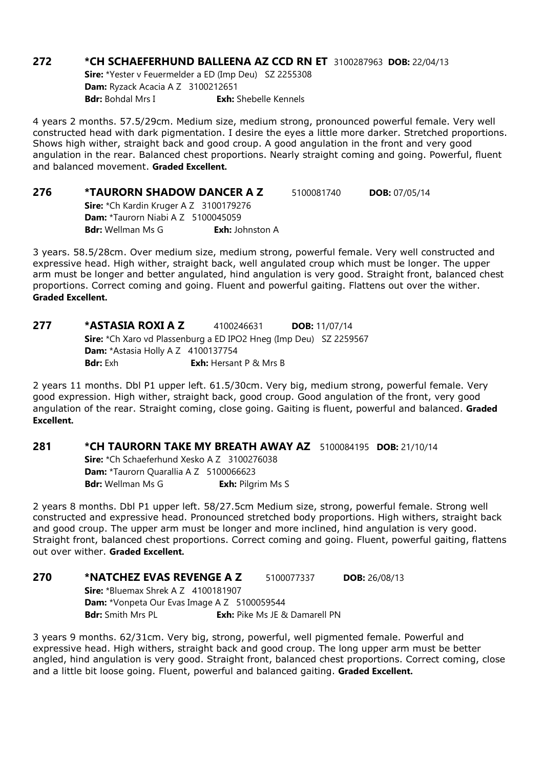#### **272 \*CH SCHAEFERHUND BALLEENA AZ CCD RN ET 3100287963 DOB: 22/04/13**

Sire: \*Yester v Feuermelder a ED (Imp Deu) SZ 2255308 Dam: Ryzack Acacia A Z 3100212651 **Bdr:** Bohdal Mrs I **Exh:** Shebelle Kennels

4 years 2 months. 57.5/29cm. Medium size, medium strong, pronounced powerful female. Very well constructed head with dark pigmentation. I desire the eyes a little more darker. Stretched proportions. Shows high wither, straight back and good croup. A good angulation in the front and very good angulation in the rear. Balanced chest proportions. Nearly straight coming and going. Powerful, fluent and balanced movement. Graded Excellent.

| 276 | <b>*TAURORN SHADOW DANCER A Z</b>              |                        | 5100081740 | <b>DOB:</b> $07/05/14$ |
|-----|------------------------------------------------|------------------------|------------|------------------------|
|     | Sire: *Ch Kardin Kruger A Z 3100179276         |                        |            |                        |
|     | <b>Dam:</b> $*$ Taurorn Niabi A Z $5100045059$ |                        |            |                        |
|     | <b>Bdr:</b> Wellman Ms G                       | <b>Exh:</b> Johnston A |            |                        |

3 years. 58.5/28cm. Over medium size, medium strong, powerful female. Very well constructed and expressive head. High wither, straight back, well angulated croup which must be longer. The upper arm must be longer and better angulated, hind angulation is very good. Straight front, balanced chest proportions. Correct coming and going. Fluent and powerful gaiting. Flattens out over the wither. Graded Excellent.

#### 277 \*ASTASIA ROXI A Z 4100246631 DOB: 11/07/14 Sire: \*Ch Xaro vd Plassenburg a ED IPO2 Hneg (Imp Deu) SZ 2259567 **Dam:** \*Astasia Holly A Z 4100137754 **Bdr:** Exh: **Exh:** Hersant P & Mrs B

2 years 11 months. Dbl P1 upper left. 61.5/30cm. Very big, medium strong, powerful female. Very good expression. High wither, straight back, good croup. Good angulation of the front, very good angulation of the rear. Straight coming, close going. Gaiting is fluent, powerful and balanced. Graded Excellent.

#### 281 \*CH TAURORN TAKE MY BREATH AWAY AZ 5100084195 DOB: 21/10/14

Sire: \*Ch Schaeferhund Xesko A Z 3100276038 Dam: \*Taurorn Quarallia A Z 5100066623 **Bdr:** Wellman Ms G **Exh:** Pilgrim Ms S

2 years 8 months. Dbl P1 upper left. 58/27.5cm Medium size, strong, powerful female. Strong well constructed and expressive head. Pronounced stretched body proportions. High withers, straight back and good croup. The upper arm must be longer and more inclined, hind angulation is very good. Straight front, balanced chest proportions. Correct coming and going. Fluent, powerful gaiting, flattens out over wither. Graded Excellent.

| 270 | *NATCHEZ EVAS REVENGE A Z                          |  | 5100077337                           | <b>DOB:</b> 26/08/13 |  |
|-----|----------------------------------------------------|--|--------------------------------------|----------------------|--|
|     | Sire: *Bluemax Shrek A Z 4100181907                |  |                                      |                      |  |
|     | <b>Dam:</b> *Vonpeta Our Evas Image A Z 5100059544 |  |                                      |                      |  |
|     | <b>Bdr:</b> Smith Mrs PL                           |  | <b>Exh:</b> Pike Ms JE & Damarell PN |                      |  |

3 years 9 months. 62/31cm. Very big, strong, powerful, well pigmented female. Powerful and expressive head. High withers, straight back and good croup. The long upper arm must be better angled, hind angulation is very good. Straight front, balanced chest proportions. Correct coming, close and a little bit loose going. Fluent, powerful and balanced gaiting. Graded Excellent.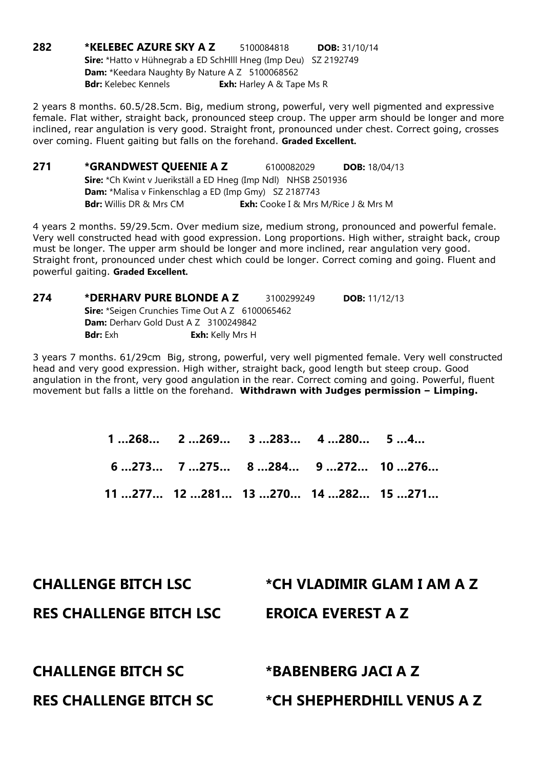282 \*KELEBEC AZURE SKY A Z 5100084818 DOB: 31/10/14 Sire: \*Hatto v Hühnegrab a ED SchHlll Hneg (Imp Deu) SZ 2192749 Dam: \*Keedara Naughty By Nature A Z 5100068562 **Bdr:** Kelebec Kennels **Exh:** Harley A & Tape Ms R

2 years 8 months. 60.5/28.5cm. Big, medium strong, powerful, very well pigmented and expressive female. Flat wither, straight back, pronounced steep croup. The upper arm should be longer and more inclined, rear angulation is very good. Straight front, pronounced under chest. Correct going, crosses over coming. Fluent gaiting but falls on the forehand. Graded Excellent.

**271 \*GRANDWEST QUEENIE A Z** 6100082029 **DOB:** 18/04/13 Sire: \*Ch Kwint v Juerikställ a ED Hneg (Imp Ndl) NHSB 2501936 Dam: \*Malisa v Finkenschlag a ED (Imp Gmy) SZ 2187743 Bdr: Willis DR & Mrs CM Exh: Cooke I & Mrs M/Rice J & Mrs M

4 years 2 months. 59/29.5cm. Over medium size, medium strong, pronounced and powerful female. Very well constructed head with good expression. Long proportions. High wither, straight back, croup must be longer. The upper arm should be longer and more inclined, rear angulation very good. Straight front, pronounced under chest which could be longer. Correct coming and going. Fluent and powerful gaiting. Graded Excellent.

| 274 | *DERHARV PURE BLONDE A Z                               |                         | 3100299249 | <b>DOB:</b> 11/12/13 |  |
|-----|--------------------------------------------------------|-------------------------|------------|----------------------|--|
|     | <b>Sire:</b> *Seigen Crunchies Time Out A Z 6100065462 |                         |            |                      |  |
|     | <b>Dam:</b> Derharv Gold Dust A Z 3100249842           |                         |            |                      |  |
|     | <b>Bdr:</b> Exh                                        | <b>Exh:</b> Kelly Mrs H |            |                      |  |

3 years 7 months. 61/29cm Big, strong, powerful, very well pigmented female. Very well constructed head and very good expression. High wither, straight back, good length but steep croup. Good angulation in the front, very good angulation in the rear. Correct coming and going. Powerful, fluent movement but falls a little on the forehand. Withdrawn with Judges permission – Limping.

| $1268$ $2269$ $3283$ $4280$ $54$ |  |  |
|----------------------------------|--|--|
|                                  |  |  |
| 11277 12281 13270 14282 15271    |  |  |

| <b>CHALLENGE BITCH LSC</b>     | *CH VLADIMIR GLAM I AM A Z |
|--------------------------------|----------------------------|
| <b>RES CHALLENGE BITCH LSC</b> | <b>EROICA EVEREST A Z</b>  |
|                                |                            |
| <b>CHALLENGE BITCH SC</b>      | *BABENBERG JACI A Z        |
| <b>RES CHALLENGE BITCH SC</b>  | *CH SHEPHERDHILL VENUS A Z |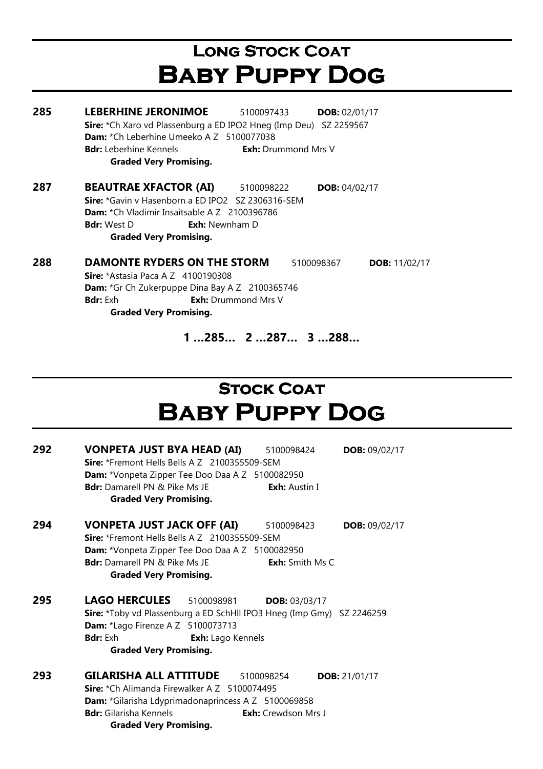# Long Stock Coat Baby Puppy Dog

| 285 | <b>LEBERHINE JERONIMOE</b><br><b>DOB: 02/01/17</b><br>5100097433           |  |  |  |  |
|-----|----------------------------------------------------------------------------|--|--|--|--|
|     | Sire: *Ch Xaro vd Plassenburg a ED IPO2 Hneg (Imp Deu) SZ 2259567          |  |  |  |  |
|     | <b>Dam:</b> *Ch Leberhine Umeeko A Z 5100077038                            |  |  |  |  |
|     | <b>Exh:</b> Drummond Mrs V<br><b>Bdr:</b> Leberhine Kennels                |  |  |  |  |
|     | <b>Graded Very Promising.</b>                                              |  |  |  |  |
| 287 | <b>BEAUTRAE XFACTOR (AI)</b><br>5100098222<br><b>DOB:</b> $04/02/17$       |  |  |  |  |
|     | Sire: *Gavin v Hasenborn a ED IPO2 SZ 2306316-SEM                          |  |  |  |  |
|     | <b>Dam:</b> *Ch Vladimir Insaitsable A Z 2100396786                        |  |  |  |  |
|     | <b>Exh:</b> Newnham D<br><b>Bdr:</b> West D                                |  |  |  |  |
|     | <b>Graded Very Promising.</b>                                              |  |  |  |  |
| 288 | <b>DAMONTE RYDERS ON THE STORM</b><br>5100098367<br><b>DOB:</b> $11/02/17$ |  |  |  |  |
|     | <b>Sire:</b> *Astasia Paca A Z 4100190308                                  |  |  |  |  |
|     | <b>Dam:</b> *Gr Ch Zukerpuppe Dina Bay A Z 2100365746                      |  |  |  |  |
|     | <b>Exh:</b> Drummond Mrs V<br><b>Bdr:</b> Exh                              |  |  |  |  |

Graded Very Promising.

1 …285… 2 …287… 3 …288…

# **STOCK COAT** Baby Puppy Dog

| 292 | <b>VONPETA JUST BYA HEAD (AI)</b><br>DOB: 09/02/17<br>5100098424<br>Sire: *Fremont Hells Bells A Z 2100355509-SEM |  |  |  |  |
|-----|-------------------------------------------------------------------------------------------------------------------|--|--|--|--|
|     | <b>Dam:</b> *Vonpeta Zipper Tee Doo Daa A Z 5100082950                                                            |  |  |  |  |
|     | <b>Bdr:</b> Damarell PN & Pike Ms JE<br><b>Exh:</b> Austin I                                                      |  |  |  |  |
|     | <b>Graded Very Promising.</b>                                                                                     |  |  |  |  |
| 294 | VONPETA JUST JACK OFF (AI)<br>5100098423<br>DOB: 09/02/17                                                         |  |  |  |  |
|     | Sire: *Fremont Hells Bells A Z 2100355509-SEM                                                                     |  |  |  |  |
|     | <b>Dam:</b> *Vonpeta Zipper Tee Doo Daa A Z 5100082950                                                            |  |  |  |  |
|     | <b>Bdr:</b> Damarell PN & Pike Ms JE<br><b>Exh:</b> Smith Ms C                                                    |  |  |  |  |
|     | <b>Graded Very Promising.</b>                                                                                     |  |  |  |  |
| 295 | <b>LAGO HERCULES</b> 5100098981<br><b>DOB: 03/03/17</b>                                                           |  |  |  |  |
|     | Sire: *Toby vd Plassenburg a ED SchHll IPO3 Hneg (Imp Gmy) SZ 2246259                                             |  |  |  |  |
|     | <b>Dam:</b> *Lago Firenze A Z 5100073713                                                                          |  |  |  |  |
|     | <b>Bdr:</b> Exh<br>Exh: Lago Kennels                                                                              |  |  |  |  |
|     | <b>Graded Very Promising.</b>                                                                                     |  |  |  |  |
| 293 | GILARISHA ALL ATTITUDE<br>5100098254<br><b>DOB:</b> 21/01/17                                                      |  |  |  |  |
|     | <b>Sire:</b> *Ch Alimanda Firewalker A Z 5100074495                                                               |  |  |  |  |
|     | Dam: *Gilarisha Ldyprimadonaprincess A Z 5100069858                                                               |  |  |  |  |
|     | <b>Bdr:</b> Gilarisha Kennels<br><b>Exh:</b> Crewdson Mrs J                                                       |  |  |  |  |
|     | <b>Graded Very Promising.</b>                                                                                     |  |  |  |  |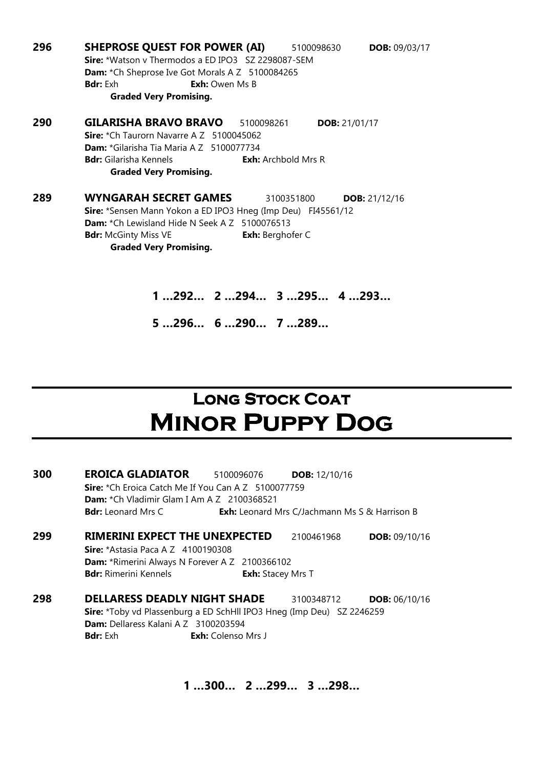296 SHEPROSE QUEST FOR POWER (AI) 5100098630 DOB: 09/03/17 Sire: \*Watson v Thermodos a ED IPO3 SZ 2298087-SEM Dam: \*Ch Sheprose Ive Got Morals A Z 5100084265 **Bdr:** Exh **Exh:** Owen Ms B Graded Very Promising. 290 GILARISHA BRAVO BRAVO 5100098261 DOB: 21/01/17 Sire: \*Ch Taurorn Navarre A Z 5100045062 Dam: \*Gilarisha Tia Maria A Z 5100077734 **Bdr:** Gilarisha Kennels **Exh:** Archbold Mrs R Graded Very Promising. 289 WYNGARAH SECRET GAMES 3100351800 DOB: 21/12/16 Sire: \*Sensen Mann Yokon a ED IPO3 Hneg (Imp Deu) FI45561/12 Dam: \*Ch Lewisland Hide N Seek A Z 5100076513 **Bdr:** McGinty Miss VE **Exh:** Berghofer C Graded Very Promising.

> 1 …292… 2 …294… 3 …295… 4 …293… 5 …296… 6 …290… 7 …289…

### **LONG STOCK COAT** Minor Puppy Dog

| 300 | <b>EROICA GLADIATOR</b>                                               | 5100096076                | <b>DOB:</b> 12/10/16                                 |                        |
|-----|-----------------------------------------------------------------------|---------------------------|------------------------------------------------------|------------------------|
|     | <b>Sire:</b> *Ch Eroica Catch Me If You Can A Z 5100077759            |                           |                                                      |                        |
|     | Dam: *Ch Vladimir Glam I Am A Z 2100368521                            |                           |                                                      |                        |
|     | <b>Bdr:</b> Leonard Mrs C                                             |                           | <b>Exh:</b> Leonard Mrs C/Jachmann Ms S & Harrison B |                        |
| 299 | <b>RIMERINI EXPECT THE UNEXPECTED</b>                                 |                           | 2100461968                                           | <b>DOB: 09/10/16</b>   |
|     | <b>Sire:</b> *Astasia Paca A Z 4100190308                             |                           |                                                      |                        |
|     | <b>Dam:</b> *Rimerini Always N Forever A Z 2100366102                 |                           |                                                      |                        |
|     | <b>Bdr:</b> Rimerini Kennels                                          | <b>Exh:</b> Stacey Mrs T  |                                                      |                        |
| 298 | <b>DELLARESS DEADLY NIGHT SHADE</b>                                   |                           | 3100348712                                           | <b>DOB:</b> $06/10/16$ |
|     | Sire: *Toby vd Plassenburg a ED SchHll IPO3 Hneg (Imp Deu) SZ 2246259 |                           |                                                      |                        |
|     | <b>Dam:</b> Dellaress Kalani A Z 3100203594                           |                           |                                                      |                        |
|     | <b>Bdr:</b> Exh                                                       | <b>Exh:</b> Colenso Mrs J |                                                      |                        |
|     |                                                                       |                           |                                                      |                        |

1 …300… 2 …299… 3 …298…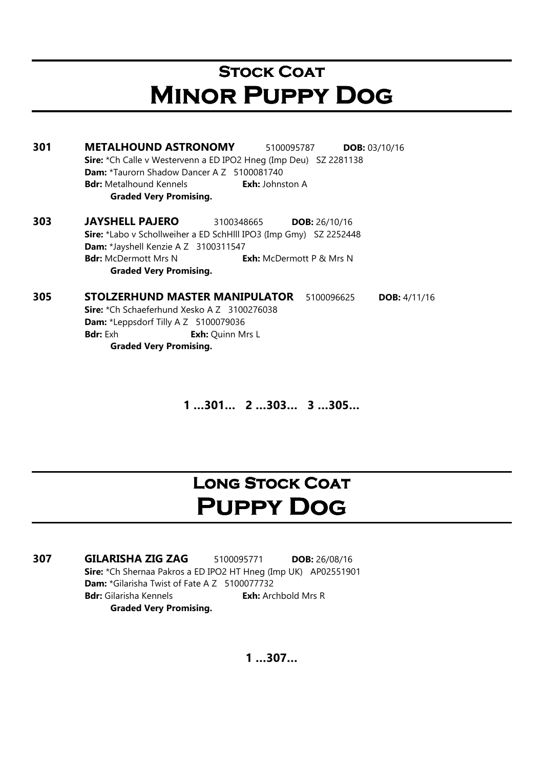### **STOCK COAT** Minor Puppy Dog

301 METALHOUND ASTRONOMY 5100095787 DOB: 03/10/16 Sire: \*Ch Calle v Westervenn a ED IPO2 Hneg (Imp Deu) SZ 2281138 Dam: \*Taurorn Shadow Dancer A Z 5100081740 **Bdr:** Metalhound Kennels **Exh:** Johnston A Graded Very Promising.

303 JAYSHELL PAJERO 3100348665 DOB: 26/10/16 Sire: \*Labo v Schollweiher a ED SchHlll IPO3 (Imp Gmy) SZ 2252448 Dam: \*Jayshell Kenzie A Z 3100311547 **Bdr:** McDermott Mrs N **Exh:** McDermott P & Mrs N Graded Very Promising.

305 STOLZERHUND MASTER MANIPULATOR 5100096625 DOB: 4/11/16 Sire: \*Ch Schaeferhund Xesko A Z 3100276038 Dam: \*Leppsdorf Tilly A Z 5100079036 **Bdr:** Exh **Exh:** Quinn Mrs L Graded Very Promising.

1 …301… 2 …303… 3 …305…

### LONG STOCK COAT PUPPY DOG

307 GILARISHA ZIG ZAG 5100095771 DOB: 26/08/16 Sire: \*Ch Shernaa Pakros a ED IPO2 HT Hneg (Imp UK) AP02551901 Dam: \*Gilarisha Twist of Fate A Z 5100077732 **Bdr:** Gilarisha Kennels **Exh:** Archbold Mrs R Graded Very Promising.

1 …307…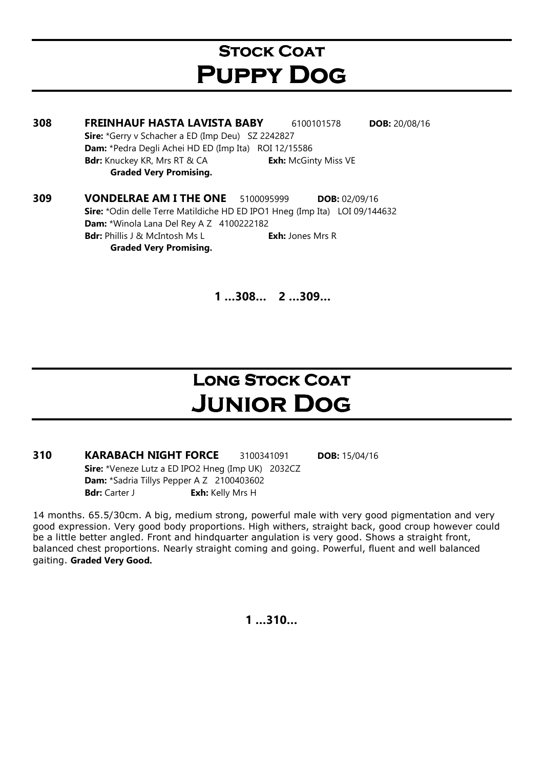### **STOCK COAT** Puppy Dog

308 FREINHAUF HASTA LAVISTA BABY 6100101578 DOB: 20/08/16 Sire: \*Gerry y Schacher a ED (Imp Deu) SZ 2242827 Dam: \*Pedra Degli Achei HD ED (Imp Ita) ROI 12/15586 Bdr: Knuckey KR, Mrs RT & CA Exh: McGinty Miss VE Graded Very Promising. **309 VONDELRAE AM I THE ONE** 5100095999 **DOB:** 02/09/16 Sire: \*Odin delle Terre Matildiche HD ED IPO1 Hneg (Imp Ita) LOI 09/144632

Dam: \*Winola Lana Del Rey A Z 4100222182 Bdr: Phillis J & McIntosh Ms L Exh: Jones Mrs R Graded Very Promising.

1 …308… 2 …309…

### **LONG STOCK COAT** Junior Dog

310 KARABACH NIGHT FORCE 3100341091 DOB: 15/04/16 Sire: \*Veneze Lutz a ED IPO2 Hneg (Imp UK) 2032CZ Dam: \*Sadria Tillys Pepper A Z 2100403602 Bdr: Carter J Exh: Kelly Mrs H

14 months. 65.5/30cm. A big, medium strong, powerful male with very good pigmentation and very good expression. Very good body proportions. High withers, straight back, good croup however could be a little better angled. Front and hindquarter angulation is very good. Shows a straight front, balanced chest proportions. Nearly straight coming and going. Powerful, fluent and well balanced gaiting. Graded Very Good.

1 …310…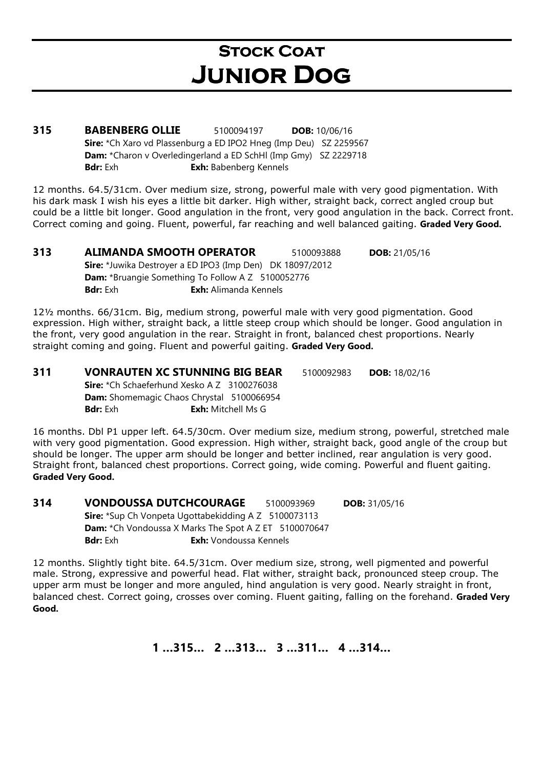### **STOCK COAT** Junior Dog

**315 BABENBERG OLLIE** 5100094197 DOB: 10/06/16 Sire: \*Ch Xaro vd Plassenburg a ED IPO2 Hneg (Imp Deu) SZ 2259567 Dam: \*Charon v Overledingerland a ED SchHl (Imp Gmy) SZ 2229718 Bdr: Exh **Exh:** Babenberg Kennels

12 months. 64.5/31cm. Over medium size, strong, powerful male with very good pigmentation. With his dark mask I wish his eyes a little bit darker. High wither, straight back, correct angled croup but could be a little bit longer. Good angulation in the front, very good angulation in the back. Correct front. Correct coming and going. Fluent, powerful, far reaching and well balanced gaiting. Graded Very Good.

**313 ALIMANDA SMOOTH OPERATOR** 5100093888 **DOB:** 21/05/16 Sire: \*Juwika Destroyer a ED IPO3 (Imp Den) DK 18097/2012 Dam: \*Bruangie Something To Follow A Z 5100052776 **Bdr:** Exh **Exh:** Alimanda Kennels

12½ months. 66/31cm. Big, medium strong, powerful male with very good pigmentation. Good expression. High wither, straight back, a little steep croup which should be longer. Good angulation in the front, very good angulation in the rear. Straight in front, balanced chest proportions. Nearly straight coming and going. Fluent and powerful gaiting. Graded Very Good.

#### 311 VONRAUTEN XC STUNNING BIG BEAR 5100092983 DOB: 18/02/16 Sire: \*Ch Schaeferhund Xesko A Z 3100276038 Dam: Shomemagic Chaos Chrystal 5100066954

**Bdr:** Exh: Mitchell Ms G

16 months. Dbl P1 upper left. 64.5/30cm. Over medium size, medium strong, powerful, stretched male with very good pigmentation. Good expression. High wither, straight back, good angle of the croup but should be longer. The upper arm should be longer and better inclined, rear angulation is very good. Straight front, balanced chest proportions. Correct going, wide coming. Powerful and fluent gaiting. Graded Very Good.

314 VONDOUSSA DUTCHCOURAGE 5100093969 DOB: 31/05/16 Sire: \*Sup Ch Vonpeta Ugottabekidding A Z 5100073113 **Dam:** \*Ch Vondoussa X Marks The Spot A Z ET 5100070647 Bdr: Exh **Exh:** Vondoussa Kennels

12 months. Slightly tight bite. 64.5/31cm. Over medium size, strong, well pigmented and powerful male. Strong, expressive and powerful head. Flat wither, straight back, pronounced steep croup. The upper arm must be longer and more anguled, hind angulation is very good. Nearly straight in front, balanced chest. Correct going, crosses over coming. Fluent gaiting, falling on the forehand. Graded Very Good.

1 …315… 2 …313… 3 …311… 4 …314…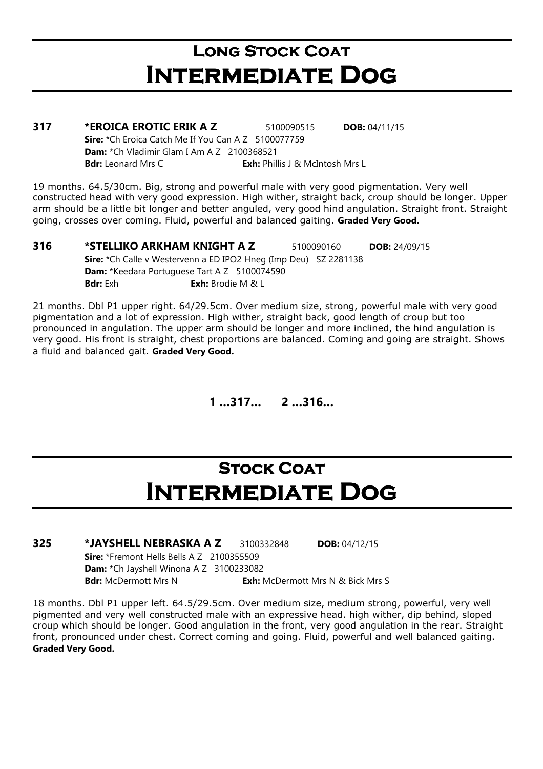# LONG STOCK COAT Intermediate Dog

| 317 | *EROICA EROTIC ERIK A Z                                    | 5100090515                             | <b>DOB:</b> $04/11/15$ |
|-----|------------------------------------------------------------|----------------------------------------|------------------------|
|     | <b>Sire:</b> *Ch Eroica Catch Me If You Can A Z 5100077759 |                                        |                        |
|     | <b>Dam:</b> $*$ Ch Vladimir Glam I Am A Z 2100368521       |                                        |                        |
|     | <b>Bdr:</b> Leonard Mrs C                                  | <b>Exh:</b> Phillis J & McIntosh Mrs L |                        |

19 months. 64.5/30cm. Big, strong and powerful male with very good pigmentation. Very well constructed head with very good expression. High wither, straight back, croup should be longer. Upper arm should be a little bit longer and better anguled, very good hind angulation. Straight front. Straight going, crosses over coming. Fluid, powerful and balanced gaiting. Graded Very Good.

**316 \*STELLIKO ARKHAM KNIGHT A Z 5100090160 DOB: 24/09/15** Sire: \*Ch Calle v Westervenn a ED IPO2 Hneg (Imp Deu) SZ 2281138 Dam: \*Keedara Portuguese Tart A Z 5100074590 **Bdr:** Exh **Exh:** Brodie M & L

21 months. Dbl P1 upper right. 64/29.5cm. Over medium size, strong, powerful male with very good pigmentation and a lot of expression. High wither, straight back, good length of croup but too pronounced in angulation. The upper arm should be longer and more inclined, the hind angulation is very good. His front is straight, chest proportions are balanced. Coming and going are straight. Shows a fluid and balanced gait. Graded Very Good.

1 …317… 2 …316…

### **STOCK COAT** Intermediate Dog

#### **325 \*JAYSHELL NEBRASKA A Z 3100332848 DOB: 04/12/15** Sire: \*Fremont Hells Bells A Z 2100355509

Dam: \*Ch Jayshell Winona A Z 3100233082 Bdr: McDermott Mrs N<br>
Exh: McDermott Mrs S

18 months. Dbl P1 upper left. 64.5/29.5cm. Over medium size, medium strong, powerful, very well pigmented and very well constructed male with an expressive head. high wither, dip behind, sloped croup which should be longer. Good angulation in the front, very good angulation in the rear. Straight front, pronounced under chest. Correct coming and going. Fluid, powerful and well balanced gaiting. Graded Very Good.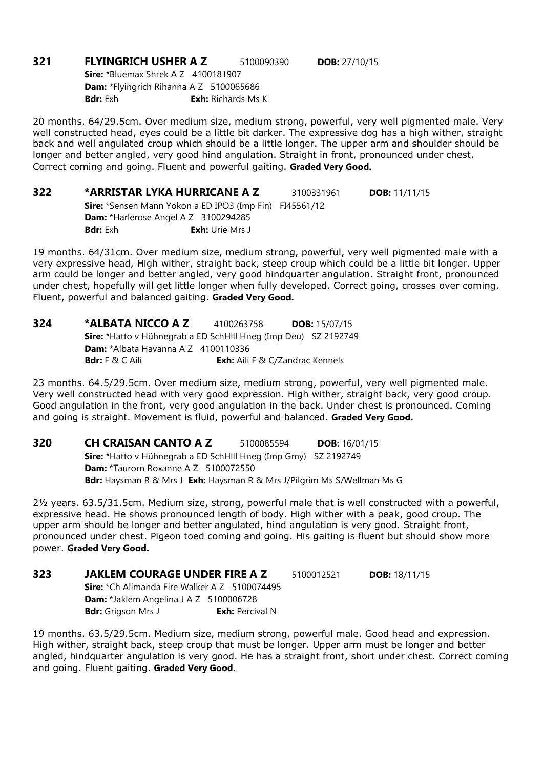**321 FLYINGRICH USHER A Z** 5100090390 **DOB:** 27/10/15 **Sire: \*Bluemax Shrek A Z 4100181907** Dam: \*Flyingrich Rihanna A Z 5100065686 **Bdr:** Exh **Exh:** Richards Ms K

20 months. 64/29.5cm. Over medium size, medium strong, powerful, very well pigmented male. Very well constructed head, eyes could be a little bit darker. The expressive dog has a high wither, straight back and well angulated croup which should be a little longer. The upper arm and shoulder should be longer and better angled, very good hind angulation. Straight in front, pronounced under chest. Correct coming and going. Fluent and powerful gaiting. Graded Very Good.

**322 \*ARRISTAR LYKA HURRICANE A Z 3100331961 DOB: 11/11/15** Sire: \*Sensen Mann Yokon a ED IPO3 (Imp Fin) FI45561/12 Dam: \*Harlerose Angel A Z 3100294285 Bdr: Exh **Exh:** Urie Mrs J

19 months. 64/31cm. Over medium size, medium strong, powerful, very well pigmented male with a very expressive head, High wither, straight back, steep croup which could be a little bit longer. Upper arm could be longer and better angled, very good hindquarter angulation. Straight front, pronounced under chest, hopefully will get little longer when fully developed. Correct going, crosses over coming. Fluent, powerful and balanced gaiting. Graded Very Good.

| 324 | *ALBATA NICCO A Z                                                      | 4100263758                             | <b>DOB:</b> $15/07/15$ |
|-----|------------------------------------------------------------------------|----------------------------------------|------------------------|
|     | <b>Sire:</b> *Hatto v Hühnegrab a ED SchHlll Hneg (Imp Deu) SZ 2192749 |                                        |                        |
|     | <b>Dam:</b> *Albata Havanna A $Z$ 4100110336                           |                                        |                        |
|     | <b>Bdr:</b> $F \& C$ Aili                                              | <b>Exh:</b> Aili F & C/Zandrac Kennels |                        |

23 months. 64.5/29.5cm. Over medium size, medium strong, powerful, very well pigmented male. Very well constructed head with very good expression. High wither, straight back, very good croup. Good angulation in the front, very good angulation in the back. Under chest is pronounced. Coming and going is straight. Movement is fluid, powerful and balanced. Graded Very Good.

**320 CH CRAISAN CANTO A Z** 5100085594 **DOB:** 16/01/15 Sire: \*Hatto v Hühnegrab a ED SchHlll Hneg (Imp Gmy) SZ 2192749 Dam: \*Taurorn Roxanne A Z 5100072550 Bdr: Haysman R & Mrs J Exh: Haysman R & Mrs J/Pilgrim Ms S/Wellman Ms G

2½ years. 63.5/31.5cm. Medium size, strong, powerful male that is well constructed with a powerful, expressive head. He shows pronounced length of body. High wither with a peak, good croup. The upper arm should be longer and better angulated, hind angulation is very good. Straight front, pronounced under chest. Pigeon toed coming and going. His gaiting is fluent but should show more power. Graded Very Good.

**323 JAKLEM COURAGE UNDER FIRE A Z** 5100012521 **DOB:** 18/11/15 Sire: \*Ch Alimanda Fire Walker A Z 5100074495 Dam: \*Jaklem Angelina J A Z 5100006728 Bdr: Grigson Mrs J Exh: Percival N

19 months. 63.5/29.5cm. Medium size, medium strong, powerful male. Good head and expression. High wither, straight back, steep croup that must be longer. Upper arm must be longer and better angled, hindquarter angulation is very good. He has a straight front, short under chest. Correct coming and going. Fluent gaiting. Graded Very Good.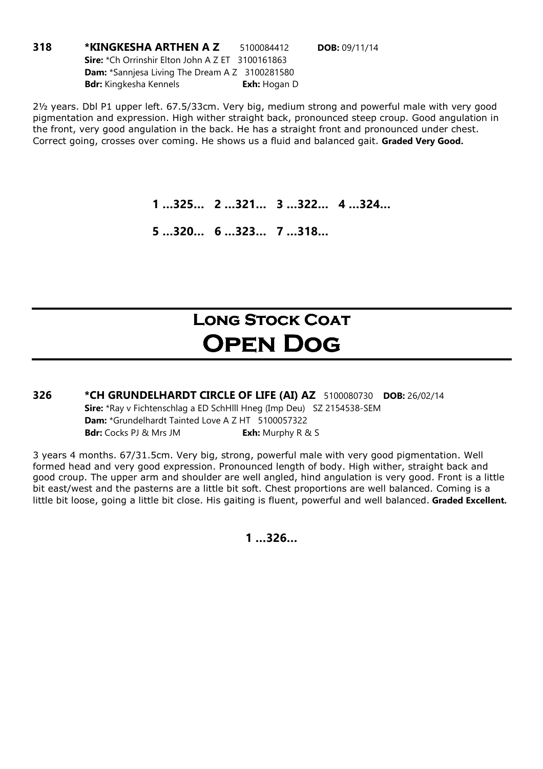318 \*KINGKESHA ARTHEN A Z 5100084412 DOB: 09/11/14 Sire: \*Ch Orrinshir Elton John A Z ET 3100161863 Dam: \*Sannjesa Living The Dream A Z 3100281580 Bdr: Kingkesha Kennels **Exh:** Hogan D

2½ years. Dbl P1 upper left. 67.5/33cm. Very big, medium strong and powerful male with very good pigmentation and expression. High wither straight back, pronounced steep croup. Good angulation in the front, very good angulation in the back. He has a straight front and pronounced under chest. Correct going, crosses over coming. He shows us a fluid and balanced gait. Graded Very Good.

1 …325… 2 …321… 3 …322… 4 …324…

5 …320… 6 …323… 7 …318…

### LONG STOCK COAT Open Dog

326 \*CH GRUNDELHARDT CIRCLE OF LIFE (AI) AZ 5100080730 DOB: 26/02/14 Sire: \*Ray v Fichtenschlag a ED SchHlll Hneg (Imp Deu) SZ 2154538-SEM Dam: \*Grundelhardt Tainted Love A Z HT 5100057322 Bdr: Cocks PJ & Mrs JM Exh: Murphy R & S

3 years 4 months. 67/31.5cm. Very big, strong, powerful male with very good pigmentation. Well formed head and very good expression. Pronounced length of body. High wither, straight back and good croup. The upper arm and shoulder are well angled, hind angulation is very good. Front is a little bit east/west and the pasterns are a little bit soft. Chest proportions are well balanced. Coming is a little bit loose, going a little bit close. His gaiting is fluent, powerful and well balanced. Graded Excellent.

1 …326…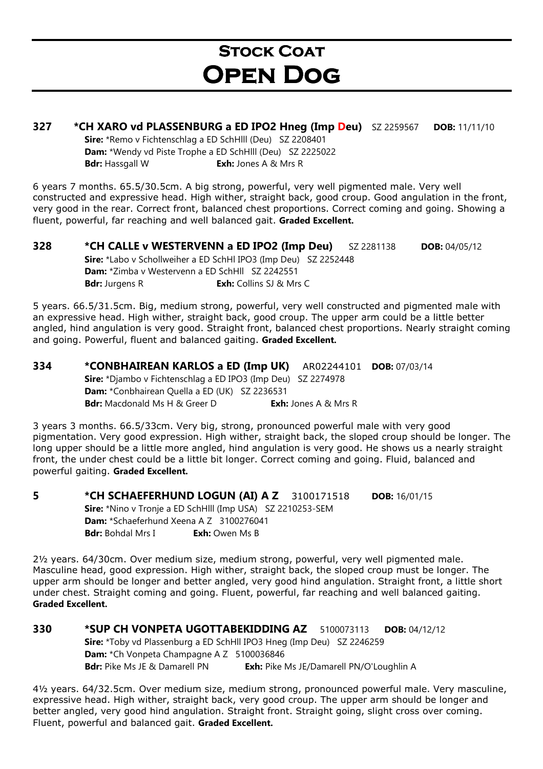### **STOCK COAT** Open Dog

#### 327 \*CH XARO vd PLASSENBURG a ED IPO2 Hneg (Imp Deu) SZ 2259567 DOB: 11/11/10

Sire: \*Remo v Fichtenschlag a ED SchHlll (Deu) SZ 2208401 Dam: \*Wendy vd Piste Trophe a ED SchHlll (Deu) SZ 2225022 **Bdr:** Hassgall W **Exh:** Jones A & Mrs R

6 years 7 months. 65.5/30.5cm. A big strong, powerful, very well pigmented male. Very well constructed and expressive head. High wither, straight back, good croup. Good angulation in the front, very good in the rear. Correct front, balanced chest proportions. Correct coming and going. Showing a fluent, powerful, far reaching and well balanced gait. Graded Excellent.

328 \*CH CALLE v WESTERVENN a ED IPO2 (Imp Deu) SZ 2281138 DOB: 04/05/12 Sire: \*Labo v Schollweiher a ED SchHl IPO3 (Imp Deu) SZ 2252448 Dam: \*Zimba v Westervenn a ED SchHll SZ 2242551 **Bdr:** Jurgens R **Exh:** Collins SJ & Mrs C

5 years. 66.5/31.5cm. Big, medium strong, powerful, very well constructed and pigmented male with an expressive head. High wither, straight back, good croup. The upper arm could be a little better angled, hind angulation is very good. Straight front, balanced chest proportions. Nearly straight coming and going. Powerful, fluent and balanced gaiting. Graded Excellent.

334 \*CONBHAIREAN KARLOS a ED (Imp UK) AR02244101 DOB: 07/03/14 Sire: \*Diambo v Fichtenschlag a ED IPO3 (Imp Deu) SZ 2274978 Dam: \*Conbhairean Quella a ED (UK) SZ 2236531 **Bdr:** Macdonald Ms H & Greer D **Exh:** Jones A & Mrs R

3 years 3 months. 66.5/33cm. Very big, strong, pronounced powerful male with very good pigmentation. Very good expression. High wither, straight back, the sloped croup should be longer. The long upper should be a little more angled, hind angulation is very good. He shows us a nearly straight front, the under chest could be a little bit longer. Correct coming and going. Fluid, balanced and powerful gaiting. Graded Excellent.

5 \*CH SCHAEFERHUND LOGUN (AI) A Z 3100171518 DOB: 16/01/15 Sire: \*Nino v Tronje a ED SchHlll (Imp USA) SZ 2210253-SEM Dam: \*Schaeferhund Xeena A Z 3100276041 Bdr: Bohdal Mrs I Exh: Owen Ms B

2½ years. 64/30cm. Over medium size, medium strong, powerful, very well pigmented male. Masculine head, good expression. High wither, straight back, the sloped croup must be longer. The upper arm should be longer and better angled, very good hind angulation. Straight front, a little short under chest. Straight coming and going. Fluent, powerful, far reaching and well balanced gaiting. Graded Excellent.

330 \*SUP CH VONPETA UGOTTABEKIDDING AZ 5100073113 DOB: 04/12/12 Sire: \*Toby vd Plassenburg a ED SchHll IPO3 Hneg (Imp Deu) SZ 2246259 Dam: \*Ch Vonpeta Champagne A Z 5100036846 Bdr: Pike Ms JE & Damarell PN Exh: Pike Ms JE/Damarell PN/O'Loughlin A

4½ years. 64/32.5cm. Over medium size, medium strong, pronounced powerful male. Very masculine, expressive head. High wither, straight back, very good croup. The upper arm should be longer and better angled, very good hind angulation. Straight front. Straight going, slight cross over coming. Fluent, powerful and balanced gait. Graded Excellent.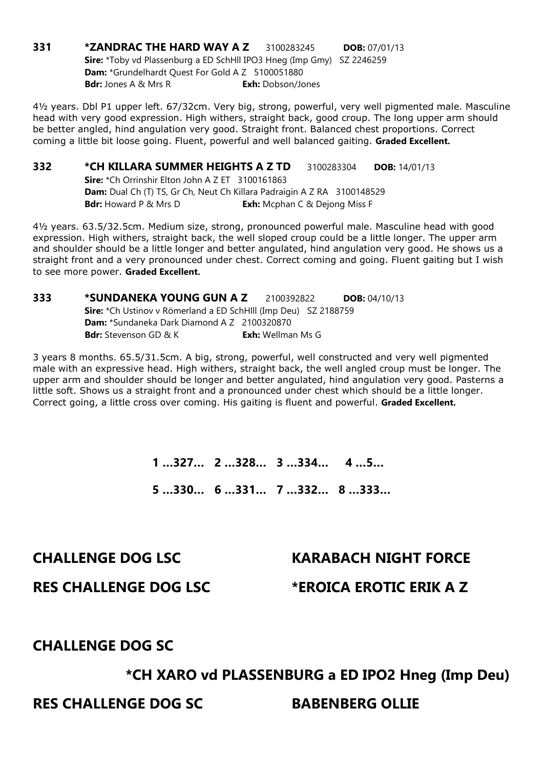**331 \*ZANDRAC THE HARD WAY A Z 3100283245 DOB: 07/01/13** Sire: \*Toby vd Plassenburg a ED SchHll IPO3 Hneg (Imp Gmy) SZ 2246259 Dam: \*Grundelhardt Quest For Gold A Z 5100051880 **Bdr:** Jones A & Mrs R **Exh:** Dobson/Jones

4½ years. Dbl P1 upper left. 67/32cm. Very big, strong, powerful, very well pigmented male. Masculine head with very good expression. High withers, straight back, good croup. The long upper arm should be better angled, hind angulation very good. Straight front. Balanced chest proportions. Correct coming a little bit loose going. Fluent, powerful and well balanced gaiting. Graded Excellent.

#### **332 \*CH KILLARA SUMMER HEIGHTS A Z TD** 3100283304 DOB: 14/01/13

Sire: \*Ch Orrinshir Elton John A Z ET 3100161863 Dam: Dual Ch (T) TS, Gr Ch, Neut Ch Killara Padraigin A Z RA 3100148529 **Bdr:** Howard P & Mrs D **Exh:** Mcphan C & Dejong Miss F

4½ years. 63.5/32.5cm. Medium size, strong, pronounced powerful male. Masculine head with good expression. High withers, straight back, the well sloped croup could be a little longer. The upper arm and shoulder should be a little longer and better angulated, hind angulation very good. He shows us a straight front and a very pronounced under chest. Correct coming and going. Fluent gaiting but I wish to see more power. Graded Excellent.

#### 333 \*SUNDANEKA YOUNG GUN A Z 2100392822 DOB: 04/10/13 Sire: \*Ch Ustinov v Römerland a ED SchHlll (Imp Deu) SZ 2188759 Dam: \*Sundaneka Dark Diamond A Z 2100320870 **Bdr:** Stevenson GD & K **Exh:** Wellman Ms G

3 years 8 months. 65.5/31.5cm. A big, strong, powerful, well constructed and very well pigmented male with an expressive head. High withers, straight back, the well angled croup must be longer. The upper arm and shoulder should be longer and better angulated, hind angulation very good. Pasterns a little soft. Shows us a straight front and a pronounced under chest which should be a little longer. Correct going, a little cross over coming. His gaiting is fluent and powerful. Graded Excellent.

> 1 …327… 2 …328… 3 …334… 4 …5… 5 …330… 6 …331… 7 …332… 8 …333…

#### CHALLENGE DOG LSC KARABACH NIGHT FORCE

RES CHALLENGE DOG LSC \*EROICA EROTIC ERIK A Z

#### CHALLENGE DOG SC

#### \*CH XARO vd PLASSENBURG a ED IPO2 Hneg (Imp Deu)

RES CHALLENGE DOG SC BABENBERG OLLIE